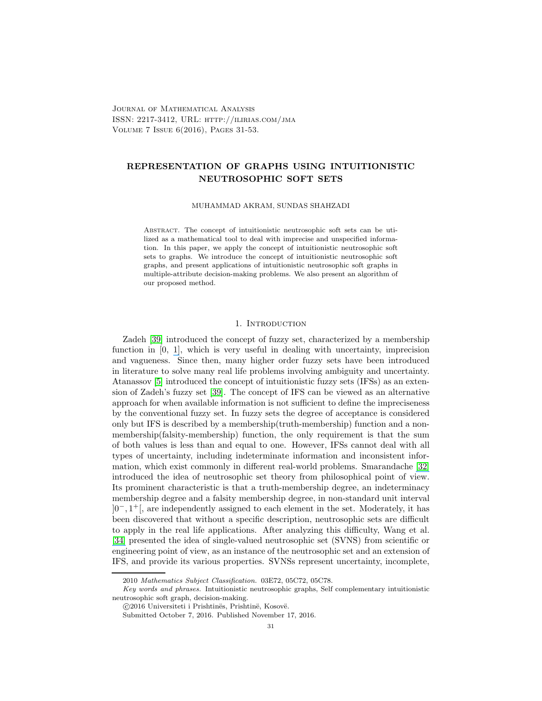Journal of Mathematical Analysis ISSN: 2217-3412, URL: http://ilirias.com/jma Volume 7 Issue 6(2016), Pages 31-53.

# REPRESENTATION OF GRAPHS USING INTUITIONISTIC NEUTROSOPHIC SOFT SETS

MUHAMMAD AKRAM, SUNDAS SHAHZADI

Abstract. The concept of intuitionistic neutrosophic soft sets can be utilized as a mathematical tool to deal with imprecise and unspecified information. In this paper, we apply the concept of intuitionistic neutrosophic soft sets to graphs. We introduce the concept of intuitionistic neutrosophic soft graphs, and present applications of intuitionistic neutrosophic soft graphs in multiple-attribute decision-making problems. We also present an algorithm of our proposed method.

#### 1. Introduction

Zadeh [\[39\]](#page-22-0) introduced the concept of fuzzy set, characterized by a membership function in [0, [1\]](https://www.researchgate.net/publication/286903464_Operations_on_Soft_Graphs?el=1_x_8&enrichId=rgreq-1081f5e8fd7111a26d573941ca3cbc7e-XXX&enrichSource=Y292ZXJQYWdlOzMxMDQ2NjM1NTtBUzo0NDQyNzg4NTA3NTY2MDhAMTQ4MjkzNTc0MDcyNw==), which is very useful in dealing with uncertainty, imprecision and vagueness. Since then, many higher order fuzzy sets have been introduced in literature to solve many real life problems involving ambiguity and uncertainty. Atanassov [5] introduced the concept of intuitionistic fuzzy sets (IFSs) as an extension of Zadeh's fuzzy set [\[39\]](#page-22-0). The concept of IFS can be viewed as an alternative approach for when available information is not sufficient to define the impreciseness by the conventional fuzzy set. In fuzzy sets the degree of acceptance is considered only but IFS is described by a membership(truth-membership) function and a nonmembership(falsity-membership) function, the only requirement is that the sum of both values is less than and equal to one. However, IFSs cannot deal with all types of uncertainty, including indeterminate information and inconsistent information, which exist commonly in different real-world problems. Smarandache [\[32\]](https://www.researchgate.net/publication/221414250_Neutrosophic_Set_--_A_Generalization_of_the_Intuitionistic_Fuzzy_Set?el=1_x_8&enrichId=rgreq-1081f5e8fd7111a26d573941ca3cbc7e-XXX&enrichSource=Y292ZXJQYWdlOzMxMDQ2NjM1NTtBUzo0NDQyNzg4NTA3NTY2MDhAMTQ4MjkzNTc0MDcyNw==) introduced the idea of neutrosophic set theory from philosophical point of view. Its prominent characteristic is that a truth-membership degree, an indeterminacy membership degree and a falsity membership degree, in non-standard unit interval ]0−, 1 <sup>+</sup>[, are independently assigned to each element in the set. Moderately, it has been discovered that without a specific description, neutrosophic sets are difficult to apply in the real life applications. After analyzing this difficulty, Wang et al. [\[34\]](https://www.researchgate.net/publication/262047656_Single_valued_neutrosophic_sets?el=1_x_8&enrichId=rgreq-1081f5e8fd7111a26d573941ca3cbc7e-XXX&enrichSource=Y292ZXJQYWdlOzMxMDQ2NjM1NTtBUzo0NDQyNzg4NTA3NTY2MDhAMTQ4MjkzNTc0MDcyNw==) presented the idea of single-valued neutrosophic set (SVNS) from scientific or engineering point of view, as an instance of the neutrosophic set and an extension of IFS, and provide its various properties. SVNSs represent uncertainty, incomplete,

<sup>2010</sup> Mathematics Subject Classification. 03E72, 05C72, 05C78.

Key words and phrases. Intuitionistic neutrosophic graphs, Self complementary intuitionistic neutrosophic soft graph, decision-making.

<sup>© 2016</sup> Universiteti i Prishtinës, Prishtinë, Kosovë.

Submitted October 7, 2016. Published November 17, 2016.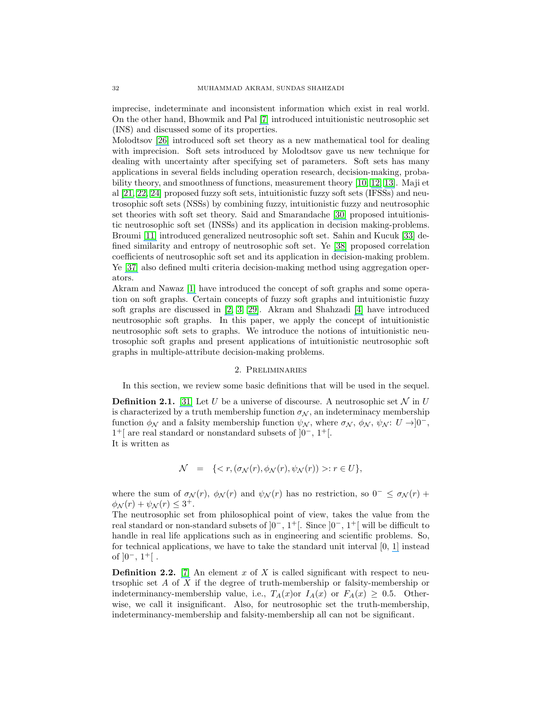imprecise, indeterminate and inconsistent information which exist in real world. On the other hand, Bhowmik and Pal [\[7\]](https://www.researchgate.net/publication/228528534_Intuitionistic_Neutrosophic_Set?el=1_x_8&enrichId=rgreq-1081f5e8fd7111a26d573941ca3cbc7e-XXX&enrichSource=Y292ZXJQYWdlOzMxMDQ2NjM1NTtBUzo0NDQyNzg4NTA3NTY2MDhAMTQ4MjkzNTc0MDcyNw==) introduced intuitionistic neutrosophic set (INS) and discussed some of its properties.

Molodtsov [\[26\]](https://www.researchgate.net/publication/280757924_Soft_set_theory_-_First_results?el=1_x_8&enrichId=rgreq-1081f5e8fd7111a26d573941ca3cbc7e-XXX&enrichSource=Y292ZXJQYWdlOzMxMDQ2NjM1NTtBUzo0NDQyNzg4NTA3NTY2MDhAMTQ4MjkzNTc0MDcyNw==) introduced soft set theory as a new mathematical tool for dealing with imprecision. Soft sets introduced by Molodtsov gave us new technique for dealing with uncertainty after specifying set of parameters. Soft sets has many applications in several fields including operation research, decision-making, probability theory, and smoothness of functions, measurement theory [\[10,](#page-21-1) [12,](https://www.researchgate.net/publication/220513331_Soft_matrix_theory_and_its_decision_making?el=1_x_8&enrichId=rgreq-1081f5e8fd7111a26d573941ca3cbc7e-XXX&enrichSource=Y292ZXJQYWdlOzMxMDQ2NjM1NTtBUzo0NDQyNzg4NTA3NTY2MDhAMTQ4MjkzNTc0MDcyNw==) [13\]](https://www.researchgate.net/publication/261368671_Neutrosophic_soft_matrices_and_NSM-decision_making?el=1_x_8&enrichId=rgreq-1081f5e8fd7111a26d573941ca3cbc7e-XXX&enrichSource=Y292ZXJQYWdlOzMxMDQ2NjM1NTtBUzo0NDQyNzg4NTA3NTY2MDhAMTQ4MjkzNTc0MDcyNw==). Maji et al [\[21,](https://www.researchgate.net/publication/305387825_Neutrosophic_soft_set?el=1_x_8&enrichId=rgreq-1081f5e8fd7111a26d573941ca3cbc7e-XXX&enrichSource=Y292ZXJQYWdlOzMxMDQ2NjM1NTtBUzo0NDQyNzg4NTA3NTY2MDhAMTQ4MjkzNTc0MDcyNw==) [22,](https://www.researchgate.net/publication/265462442_Intuitionistic_fuzzy_soft_sets?el=1_x_8&enrichId=rgreq-1081f5e8fd7111a26d573941ca3cbc7e-XXX&enrichSource=Y292ZXJQYWdlOzMxMDQ2NjM1NTtBUzo0NDQyNzg4NTA3NTY2MDhAMTQ4MjkzNTc0MDcyNw==) [24\]](#page-21-6) proposed fuzzy soft sets, intuitionistic fuzzy soft sets (IFSSs) and neutrosophic soft sets (NSSs) by combining fuzzy, intuitionistic fuzzy and neutrosophic set theories with soft set theory. Said and Smarandache [\[30\]](https://www.researchgate.net/publication/268443553_More_on_Intuitionistic_Neutrosophic_Soft_Sets?el=1_x_8&enrichId=rgreq-1081f5e8fd7111a26d573941ca3cbc7e-XXX&enrichSource=Y292ZXJQYWdlOzMxMDQ2NjM1NTtBUzo0NDQyNzg4NTA3NTY2MDhAMTQ4MjkzNTc0MDcyNw==) proposed intuitionistic neutrosophic soft set (INSSs) and its application in decision making-problems. Broumi [\[11\]](https://www.researchgate.net/publication/236688061_Generalized_Neutrosophic_Soft_Set?el=1_x_8&enrichId=rgreq-1081f5e8fd7111a26d573941ca3cbc7e-XXX&enrichSource=Y292ZXJQYWdlOzMxMDQ2NjM1NTtBUzo0NDQyNzg4NTA3NTY2MDhAMTQ4MjkzNTc0MDcyNw==) introduced generalized neutrosophic soft set. Sahin and Kucuk [\[33\]](#page-22-5) defined similarity and entropy of neutrosophic soft set. Ye [\[38\]](https://www.researchgate.net/publication/263257550_Multicriteria_decision-making_method_using_the_correlation_coefficient_under_single-value_neutrosophic_environment?el=1_x_8&enrichId=rgreq-1081f5e8fd7111a26d573941ca3cbc7e-XXX&enrichSource=Y292ZXJQYWdlOzMxMDQ2NjM1NTtBUzo0NDQyNzg4NTA3NTY2MDhAMTQ4MjkzNTc0MDcyNw==) proposed correlation coefficients of neutrosophic soft set and its application in decision-making problem. Ye [\[37\]](https://www.researchgate.net/publication/281305240_A_multicriteria_decision-making_method_using_aggregation_operators_for_simplified_neutrosophic_sets?el=1_x_8&enrichId=rgreq-1081f5e8fd7111a26d573941ca3cbc7e-XXX&enrichSource=Y292ZXJQYWdlOzMxMDQ2NjM1NTtBUzo0NDQyNzg4NTA3NTY2MDhAMTQ4MjkzNTc0MDcyNw==) also defined multi criteria decision-making method using aggregation operators.

Akram and Nawaz [\[1\]](https://www.researchgate.net/publication/286903464_Operations_on_Soft_Graphs?el=1_x_8&enrichId=rgreq-1081f5e8fd7111a26d573941ca3cbc7e-XXX&enrichSource=Y292ZXJQYWdlOzMxMDQ2NjM1NTtBUzo0NDQyNzg4NTA3NTY2MDhAMTQ4MjkzNTc0MDcyNw==) have introduced the concept of soft graphs and some operation on soft graphs. Certain concepts of fuzzy soft graphs and intuitionistic fuzzy soft graphs are discussed in [\[2,](https://www.researchgate.net/publication/289988962_On_fuzzy_soft_graphs?el=1_x_8&enrichId=rgreq-1081f5e8fd7111a26d573941ca3cbc7e-XXX&enrichSource=Y292ZXJQYWdlOzMxMDQ2NjM1NTtBUzo0NDQyNzg4NTA3NTY2MDhAMTQ4MjkzNTc0MDcyNw==) [3,](#page-21-10) [29\]](https://www.researchgate.net/publication/305987917_Intuitionistic_fuzzy_soft_graphs_with_applications?el=1_x_8&enrichId=rgreq-1081f5e8fd7111a26d573941ca3cbc7e-XXX&enrichSource=Y292ZXJQYWdlOzMxMDQ2NjM1NTtBUzo0NDQyNzg4NTA3NTY2MDhAMTQ4MjkzNTc0MDcyNw==). Akram and Shahzadi [\[4\]](https://www.researchgate.net/publication/305920288_Neutrosophic_soft_graphs_with_application?el=1_x_8&enrichId=rgreq-1081f5e8fd7111a26d573941ca3cbc7e-XXX&enrichSource=Y292ZXJQYWdlOzMxMDQ2NjM1NTtBUzo0NDQyNzg4NTA3NTY2MDhAMTQ4MjkzNTc0MDcyNw==) have introduced neutrosophic soft graphs. In this paper, we apply the concept of intuitionistic neutrosophic soft sets to graphs. We introduce the notions of intuitionistic neutrosophic soft graphs and present applications of intuitionistic neutrosophic soft graphs in multiple-attribute decision-making problems.

## 2. Preliminaries

In this section, we review some basic definitions that will be used in the sequel.

**Definition 2.1.** [\[31\]](https://www.researchgate.net/publication/305140002_Neutrosophic_Probability_Set_And_Logic_first_version?el=1_x_8&enrichId=rgreq-1081f5e8fd7111a26d573941ca3cbc7e-XXX&enrichSource=Y292ZXJQYWdlOzMxMDQ2NjM1NTtBUzo0NDQyNzg4NTA3NTY2MDhAMTQ4MjkzNTc0MDcyNw==) Let U be a universe of discourse. A neutrosophic set N in U is characterized by a truth membership function  $\sigma_{\mathcal{N}},$  an indeterminacy membership function  $\phi_N$  and a falsity membership function  $\psi_N$ , where  $\sigma_N$ ,  $\phi_N$ ,  $\psi_N$ :  $U \rightarrow ]0^-,$ 1 <sup>+</sup>[ are real standard or nonstandard subsets of ]0<sup>−</sup>, 1<sup>+</sup>[. It is written as

$$
\mathcal{N} = \{ \langle r, (\sigma_{\mathcal{N}}(r), \phi_{\mathcal{N}}(r), \psi_{\mathcal{N}}(r)) \rangle : r \in U \},
$$

where the sum of  $\sigma_{\mathcal{N}}(r)$ ,  $\phi_{\mathcal{N}}(r)$  and  $\psi_{\mathcal{N}}(r)$  has no restriction, so  $0^- \leq \sigma_{\mathcal{N}}(r)$  +  $\phi_{\mathcal{N}}(r) + \psi_{\mathcal{N}}(r) \leq 3^+.$ 

The neutrosophic set from philosophical point of view, takes the value from the real standard or non-standard subsets of  $]0^-$ ,  $1^+$ . Since  $]0^-$ ,  $1^+$  will be difficult to handle in real life applications such as in engineering and scientific problems. So, for technical applications, we have to take the standard unit interval [0, [1\]](https://www.researchgate.net/publication/286903464_Operations_on_Soft_Graphs?el=1_x_8&enrichId=rgreq-1081f5e8fd7111a26d573941ca3cbc7e-XXX&enrichSource=Y292ZXJQYWdlOzMxMDQ2NjM1NTtBUzo0NDQyNzg4NTA3NTY2MDhAMTQ4MjkzNTc0MDcyNw==) instead of  $]0^-, 1^+[$ .

**Definition 2.2.** [\[7\]](https://www.researchgate.net/publication/228528534_Intuitionistic_Neutrosophic_Set?el=1_x_8&enrichId=rgreq-1081f5e8fd7111a26d573941ca3cbc7e-XXX&enrichSource=Y292ZXJQYWdlOzMxMDQ2NjM1NTtBUzo0NDQyNzg4NTA3NTY2MDhAMTQ4MjkzNTc0MDcyNw==) An element x of X is called significant with respect to neutrsophic set A of X if the degree of truth-membership or falsity-membership or indeterminancy-membership value, i.e.,  $T_A(x)$  or  $F_A(x) \geq 0.5$ . Otherwise, we call it insignificant. Also, for neutrosophic set the truth-membership, indeterminancy-membership and falsity-membership all can not be significant.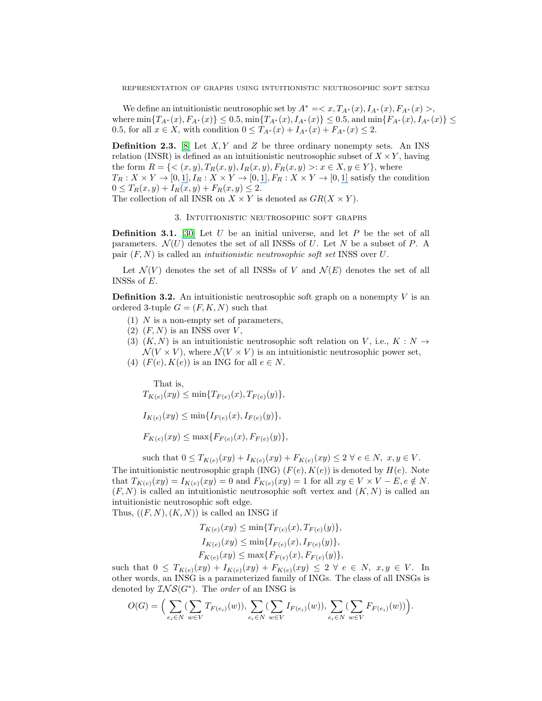We define an intuitionistic neutrosophic set by  $A^* = \langle x, T_{A^*}(x), I_{A^*}(x), F_{A^*}(x) \rangle$ , where  $\min\{T_{A^*}(x), F_{A^*}(x)\}\leq 0.5, \min\{T_{A^*}(x), I_{A^*}(x)\}\leq 0.5, \text{ and } \min\{F_{A^*}(x), I_{A^*}(x)\}\leq 0.5$ 0.5, for all  $x \in X$ , with condition  $0 \leq T_{A^*}(x) + I_{A^*}(x) + F_{A^*}(x) \leq 2$ .

**Definition 2.3.** [\[8\]](https://www.researchgate.net/publication/231359138_Intuitionistic_Neutrosophic_Set_Relations_and_Some_of_Its_Properties?el=1_x_8&enrichId=rgreq-1081f5e8fd7111a26d573941ca3cbc7e-XXX&enrichSource=Y292ZXJQYWdlOzMxMDQ2NjM1NTtBUzo0NDQyNzg4NTA3NTY2MDhAMTQ4MjkzNTc0MDcyNw==) Let  $X, Y$  and  $Z$  be three ordinary nonempty sets. An INS relation (INSR) is defined as an intuitionistic neutrosophic subset of  $X \times Y$ , having the form  $R = \{ \langle (x, y), T_R(x, y), I_R(x, y), F_R(x, y) \rangle : x \in X, y \in Y \}$ , where  $T_R: X \times Y \to [0,1], I_R: X \times Y \to [0,1], F_R: X \times Y \to [0,1]$  $T_R: X \times Y \to [0,1], I_R: X \times Y \to [0,1], F_R: X \times Y \to [0,1]$  $T_R: X \times Y \to [0,1], I_R: X \times Y \to [0,1], F_R: X \times Y \to [0,1]$  satisfy the condition  $0 \leq T_R(x, y) + I_R(x, y) + F_R(x, y) \leq 2.$ 

The collection of all INSR on  $X \times Y$  is denoted as  $GR(X \times Y)$ .

#### 3. Intuitionistic neutrosophic soft graphs

**Definition 3.1.** [\[30\]](https://www.researchgate.net/publication/268443553_More_on_Intuitionistic_Neutrosophic_Soft_Sets?el=1_x_8&enrichId=rgreq-1081f5e8fd7111a26d573941ca3cbc7e-XXX&enrichSource=Y292ZXJQYWdlOzMxMDQ2NjM1NTtBUzo0NDQyNzg4NTA3NTY2MDhAMTQ4MjkzNTc0MDcyNw==) Let U be an initial universe, and let P be the set of all parameters.  $\mathcal{N}(U)$  denotes the set of all INSSs of U. Let N be a subset of P. A pair  $(F, N)$  is called an *intuitionistic neutrosophic soft set* INSS over U.

Let  $\mathcal{N}(V)$  denotes the set of all INSSs of V and  $\mathcal{N}(E)$  denotes the set of all INSSs of E.

**Definition 3.2.** An intuitionistic neutrosophic soft graph on a nonempty  $V$  is an ordered 3-tuple  $G = (F, K, N)$  such that

- (1)  $N$  is a non-empty set of parameters,
- $(2)$   $(F, N)$  is an INSS over V,
- (3)  $(K, N)$  is an intuitionistic neutrosophic soft relation on V, i.e.,  $K : N \to$  $\mathcal{N}(V \times V)$ , where  $\mathcal{N}(V \times V)$  is an intuitionistic neutrosophic power set,
- (4)  $(F(e), K(e))$  is an ING for all  $e \in N$ .

That is,

$$
T_{K(e)}(xy) \le \min\{T_{F(e)}(x), T_{F(e)}(y)\},\,
$$

 $I_{K(e)}(xy) \leq \min\{I_{F(e)}(x), I_{F(e)}(y)\},\$ 

$$
F_{K(e)}(xy) \le \max\{F_{F(e)}(x), F_{F(e)}(y)\},\
$$

such that  $0 \leq T_{K(e)}(xy) + I_{K(e)}(xy) + F_{K(e)}(xy) \leq 2 \ \forall \ e \in N, \ x, y \in V$ .

The intuitionistic neutrosophic graph (ING)  $(F(e), K(e))$  is denoted by  $H(e)$ . Note that  $T_{K(e)}(xy) = I_{K(e)}(xy) = 0$  and  $F_{K(e)}(xy) = 1$  for all  $xy \in V \times V - E$ ,  $e \notin N$ .  $(F, N)$  is called an intuitionistic neutrosophic soft vertex and  $(K, N)$  is called an intuitionistic neutrosophic soft edge.

Thus,  $((F, N), (K, N))$  is called an INSG if

$$
T_{K(e)}(xy) \le \min\{T_{F(e)}(x), T_{F(e)}(y)\},
$$
  
\n
$$
I_{K(e)}(xy) \le \min\{I_{F(e)}(x), I_{F(e)}(y)\},
$$
  
\n
$$
F_{K(e)}(xy) \le \max\{F_{F(e)}(x), F_{F(e)}(y)\},
$$

such that  $0 \leq T_{K(e)}(xy) + I_{K(e)}(xy) + F_{K(e)}(xy) \leq 2 \ \forall \ e \in N, \ x, y \in V$ . In other words, an INSG is a parameterized family of INGs. The class of all INSGs is denoted by  $\mathcal{INS}(G^*)$ . The *order* of an INSG is

$$
O(G) = \Big(\sum_{e_i \in N} \big(\sum_{w \in V} T_{F(e_i)}(w)\big), \sum_{e_i \in N} \big(\sum_{w \in V} I_{F(e_i)}(w)\big), \sum_{e_i \in N} \big(\sum_{w \in V} F_{F(e_i)}(w)\big)\Big).
$$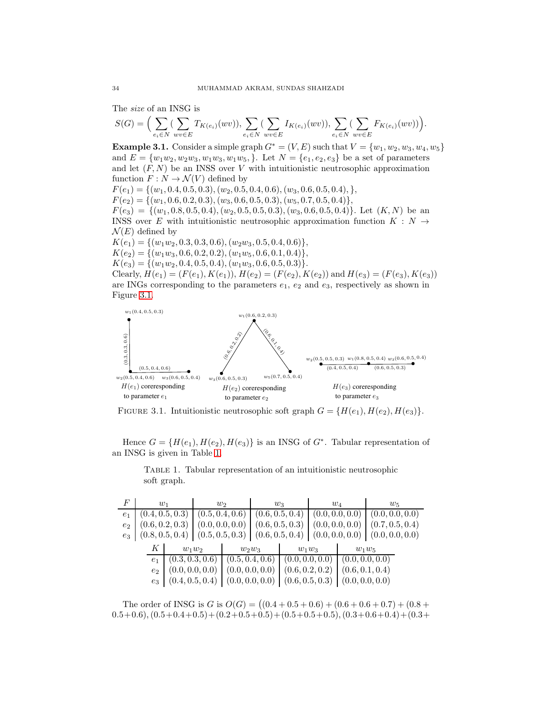The size of an INSG is

$$
S(G) = \Big(\sum_{e_i \in N} (\sum_{wv \in E} T_{K(e_i)}(wv)), \sum_{e_i \in N} (\sum_{wv \in E} I_{K(e_i)}(wv)), \sum_{e_i \in N} (\sum_{wv \in E} F_{K(e_i)}(wv))\Big).
$$

**Example 3.1.** Consider a simple graph  $G^* = (V, E)$  such that  $V = \{w_1, w_2, w_3, w_4, w_5\}$ and  $E = \{w_1w_2, w_2w_3, w_1w_3, w_1w_5, \}$ . Let  $N = \{e_1, e_2, e_3\}$  be a set of parameters and let  $(F, N)$  be an INSS over V with intuitionistic neutrosophic approximation function  $F: N \to \mathcal{N}(V)$  defined by  $F(e_1) = \{(w_1, 0.4, 0.5, 0.3), (w_2, 0.5, 0.4, 0.6), (w_3, 0.6, 0.5, 0.4), \},\$  $F(e_2) = \{(w_1, 0.6, 0.2, 0.3), (w_3, 0.6, 0.5, 0.3), (w_5, 0.7, 0.5, 0.4)\},\$  $F(e_3) = \{(w_1, 0.8, 0.5, 0.4), (w_2, 0.5, 0.5, 0.3), (w_3, 0.6, 0.5, 0.4)\}\.$  Let  $(K, N)$  be an INSS over E with intuitionistic neutrosophic approximation function  $K : N \rightarrow$  $\mathcal{N}(E)$  defined by  $K(e_1) = \{ (w_1w_2, 0.3, 0.3, 0.6), (w_2w_3, 0.5, 0.4, 0.6) \},\$  $K(e_2) = \{(w_1w_3, 0.6, 0.2, 0.2), (w_1w_5, 0.6, 0.1, 0.4)\},\$  $K(e_3) = \{(w_1w_2, 0.4, 0.5, 0.4), (w_1w_3, 0.6, 0.5, 0.3)\}.$ Clearly,  $H(e_1) = (F(e_1), K(e_1)), H(e_2) = (F(e_2), K(e_2))$  and  $H(e_3) = (F(e_3), K(e_3))$ are INGs corresponding to the parameters  $e_1, e_2$  and  $e_3$ , respectively as shown in Figure [3.1.](#page-3-0)



<span id="page-3-0"></span>FIGURE 3.1. Intuitionistic neutrosophic soft graph  $G = \{H(e_1), H(e_2), H(e_3)\}.$ 

Hence  $G = \{H(e_1), H(e_2), H(e_3)\}\$ is an INSG of  $G^*$ . Tabular representation of an INSG is given in Table [1.](#page-3-1)

 $F$  w<sub>1</sub> w<sub>2</sub> w<sub>3</sub> w<sub>4</sub> w<sub>5</sub>  $e_1$   $(0.4, 0.5, 0.3)$   $(0.5, 0.4, 0.6)$   $(0.6, 0.5, 0.4)$   $(0.0, 0.0, 0.0)$   $(0.0, 0.0, 0.0)$  $e_2 \mid (0.6, 0.2, 0.3) \mid (0.0, 0.0, 0.0) \mid (0.6, 0.5, 0.3) \mid (0.0, 0.0, 0.0) \mid (0.7, 0.5, 0.4)$  $e_3 \mid (0.8, 0.5, 0.4) \mid (0.5, 0.5, 0.3) \mid (0.6, 0.5, 0.4) \mid (0.0, 0.0, 0.0) \mid (0.0, 0.0, 0.0)$  $K \begin{array}{|c|c|c|c|c|} \hline w_1w_2 & w_2w_3 & w_1w_3 & w_1w_5 \ \hline \end{array}$  $e_1 \mid (0.3, 0.3, 0.6) \mid (0.5, 0.4, 0.6) \mid (0.0, 0.0, 0.0) \mid (0.0, 0.0, 0.0)$  $e_2 \mid (0.0, 0.0, 0.0) \mid (0.0, 0.0, 0.0) \mid (0.6, 0.2, 0.2) \mid (0.6, 0.1, 0.4)$  $e_3 \mid (0.4, 0.5, 0.4) \mid (0.0, 0.0, 0.0) \mid (0.6, 0.5, 0.3) \mid (0.0, 0.0, 0.0)$ 

<span id="page-3-1"></span>Table 1. Tabular representation of an intuitionistic neutrosophic soft graph.

The order of INSG is  $G$  is  $O(G) = ((0.4 + 0.5 + 0.6) + (0.6 + 0.6 + 0.7) + (0.8 +$ 0.5+0.6),(0.5+0.4+0.5)+(0.2+0.5+0.5)+(0.5+0.5+0.5),(0.3+0.6+0.4)+(0.3+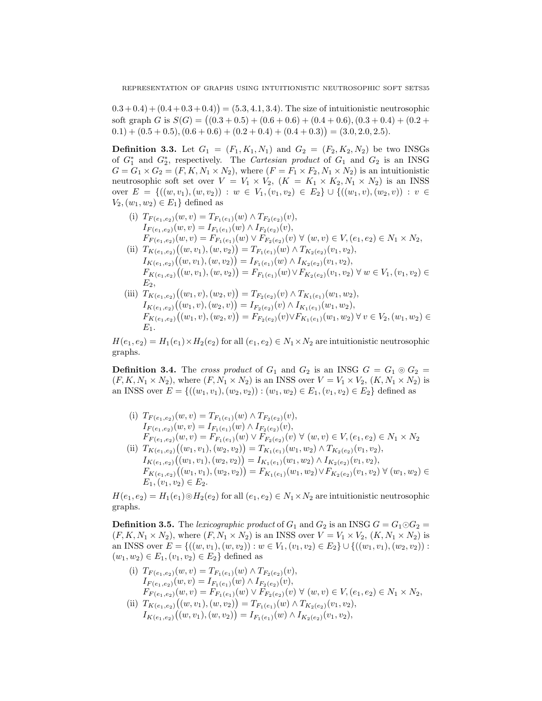$(0.3 + 0.4) + (0.4 + 0.3 + 0.4)) = (5.3, 4.1, 3.4)$ . The size of intuitionistic neutrosophic soft graph G is  $S(G) = (0.3 + 0.5) + (0.6 + 0.6) + (0.4 + 0.6), (0.3 + 0.4) + (0.2 +$  $(0.1) + (0.5 + 0.5), (0.6 + 0.6) + (0.2 + 0.4) + (0.4 + 0.3)) = (3.0, 2.0, 2.5).$ 

**Definition 3.3.** Let  $G_1 = (F_1, K_1, N_1)$  and  $G_2 = (F_2, K_2, N_2)$  be two INSGs of  $G_1^*$  and  $G_2^*$ , respectively. The *Cartesian product* of  $G_1$  and  $G_2$  is an INSG  $G = G_1 \times G_2 = (F, K, N_1 \times N_2)$ , where  $(F = F_1 \times F_2, N_1 \times N_2)$  is an intuitionistic neutrosophic soft set over  $V = V_1 \times V_2$ ,  $(K = K_1 \times K_2, N_1 \times N_2)$  is an INSS over  $E = \{((w, v_1), (w, v_2)) : w \in V_1, (v_1, v_2) \in E_2\} \cup \{((w_1, v), (w_2, v)) : v \in E_2\}$  $V_2,(w_1, w_2) \in E_1$  defined as

- (i)  $T_{F(e_1,e_2)}(w,v) = T_{F_1(e_1)}(w) \wedge T_{F_2(e_2)}(v),$  $I_{F(e_1,e_2)}(w,v) = I_{F_1(e_1)}(w) \wedge I_{F_2(e_2)}(v),$  $F_{F(e_1,e_2)}(w,v) = F_{F_1(e_1)}(w) \vee F_{F_2(e_2)}(v) \vee (w,v) \in V, (e_1,e_2) \in N_1 \times N_2,$
- (ii)  $T_{K(e_1,e_2)}((w,v_1),(w,v_2)) = T_{F_1(e_1)}(w) \wedge T_{K_2(e_2)}(v_1,v_2),$  $I_{K(e_1,e_2)}((w,v_1),(w,v_2)) = I_{F_1(e_1)}(w) \wedge I_{K_2(e_2)}(v_1,v_2),$  $F_{K(e_1,e_2)}((w,v_1),(w,v_2)) = F_{F_1(e_1)}(w) \vee F_{K_2(e_2)}(v_1,v_2) \forall w \in V_1, (v_1,v_2) \in$  $E_2$ ,
- (iii)  $T_{K(e_1,e_2)}((w_1,v),(w_2,v)) = T_{F_2(e_2)}(v) \wedge T_{K_1(e_1)}(w_1,w_2),$  $I_{K(e_1,e_2)}((w_1,v),(w_2,v)) = I_{F_2(e_2)}(v) \wedge I_{K_1(e_1)}(w_1,w_2),$  $F_{K(e_1,e_2)}((w_1,v),(w_2,v)) = F_{F_2(e_2)}(v) \vee F_{K_1(e_1)}(w_1,w_2) \forall v \in V_2,(w_1,w_2) \in$  $E_1$ .

 $H(e_1, e_2) = H_1(e_1) \times H_2(e_2)$  for all  $(e_1, e_2) \in N_1 \times N_2$  are intuitionistic neutrosophic graphs.

**Definition 3.4.** The cross product of  $G_1$  and  $G_2$  is an INSG  $G = G_1 \odot G_2$  $(F, K, N_1 \times N_2)$ , where  $(F, N_1 \times N_2)$  is an INSS over  $V = V_1 \times V_2$ ,  $(K, N_1 \times N_2)$  is an INSS over  $E = \{((w_1, v_1), (w_2, v_2)) : (w_1, w_2) \in E_1, (v_1, v_2) \in E_2\}$  defined as

(i)  $T_{F(e_1,e_2)}(w,v) = T_{F_1(e_1)}(w) \wedge T_{F_2(e_2)}(v),$  $I_{F(e_1,e_2)}(w,v) = I_{F_1(e_1)}(w) \wedge I_{F_2(e_2)}(v),$  $F_{F(e_1,e_2)}(w,v) = F_{F_1(e_1)}(w) \vee F_{F_2(e_2)}(v) \vee (w,v) \in V, (e_1,e_2) \in N_1 \times N_2$ (ii)  $T_{K(e_1,e_2)}((w_1,v_1),(w_2,v_2)) = T_{K_1(e_1)}(w_1,w_2) \wedge T_{K_2(e_2)}(v_1,v_2),$  $I_{K(e_1,e_2)}((w_1,v_1),(w_2,v_2)) = I_{K_1(e_1)}(w_1,w_2) \wedge I_{K_2(e_2)}(v_1,v_2),$  $F_{K(e_1,e_2)}((w_1,v_1),(w_2,v_2)) = F_{K_1(e_1)}(w_1,w_2) \vee F_{K_2(e_2)}(v_1,v_2) \forall (w_1,w_2) \in$  $E_1,(v_1,v_2)\in E_2.$ 

 $H(e_1, e_2) = H_1(e_1) \otimes H_2(e_2)$  for all  $(e_1, e_2) \in N_1 \times N_2$  are intuitionistic neutrosophic graphs.

**Definition 3.5.** The lexicographic product of  $G_1$  and  $G_2$  is an INSG  $G = G_1 \odot G_2$  $(F, K, N_1 \times N_2)$ , where  $(F, N_1 \times N_2)$  is an INSS over  $V = V_1 \times V_2$ ,  $(K, N_1 \times N_2)$  is an INSS over  $E = \{((w, v_1), (w, v_2)) : w \in V_1, (v_1, v_2) \in E_2\} \cup \{((w_1, v_1), (w_2, v_2)) : w \in V_1, (v_1, v_2) \in E_2\}$  $(w_1, w_2) \in E_1, (v_1, v_2) \in E_2$  defined as

- (i)  $T_{F(e_1,e_2)}(w,v) = T_{F_1(e_1)}(w) \wedge T_{F_2(e_2)}(v),$  $I_{F(e_1,e_2)}(w,v) = I_{F_1(e_1)}(w) \wedge I_{F_2(e_2)}(v),$  $F_{F(e_1,e_2)}(w,v) = F_{F_1(e_1)}(w) \vee F_{F_2(e_2)}(v) \vee (w,v) \in V, (e_1,e_2) \in N_1 \times N_2,$ (ii)  $T_{K(e_1,e_2)}((w,v_1),(w,v_2)) = T_{F_1(e_1)}(w) \wedge T_{K_2(e_2)}(v_1,v_2),$
- $I_{K(e_1,e_2)}((w,v_1),(w,v_2)) = I_{F_1(e_1)}(w) \wedge I_{K_2(e_2)}(v_1,v_2),$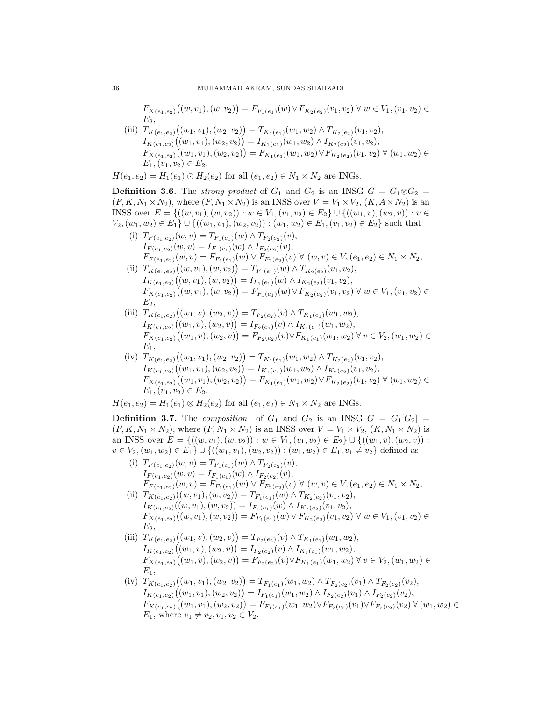$F_{K(e_1,e_2)}((w,v_1),(w,v_2)) = F_{F_1(e_1)}(w) \vee F_{K_2(e_2)}(v_1,v_2) \forall w \in V_1, (v_1,v_2) \in$  $E_2$ 

(iii)  $T_{K(e_1,e_2)}((w_1,v_1),(w_2,v_2)) = T_{K_1(e_1)}(w_1,w_2) \wedge T_{K_2(e_2)}(v_1,v_2),$  $I_{K(e_1,e_2)}((w_1,v_1),(w_2,v_2)) = I_{K_1(e_1)}(w_1,w_2) \wedge I_{K_2(e_2)}(v_1,v_2),$  $F_{K(e_1,e_2)}((w_1,v_1),(w_2,v_2)) = F_{K_1(e_1)}(w_1,w_2) \vee F_{K_2(e_2)}(v_1,v_2) \forall (w_1,w_2) \in$  $E_1,(v_1,v_2)\in E_2.$ 

 $H(e_1, e_2) = H_1(e_1) \odot H_2(e_2)$  for all  $(e_1, e_2) \in N_1 \times N_2$  are INGs.

**Definition 3.6.** The strong product of  $G_1$  and  $G_2$  is an INSG  $G = G_1 \otimes G_2$  $(F, K, N_1 \times N_2)$ , where  $(F, N_1 \times N_2)$  is an INSS over  $V = V_1 \times V_2$ ,  $(K, A \times N_2)$  is an INSS over  $E = \{((w, v_1), (w, v_2)) : w \in V_1, (v_1, v_2) \in E_2\} \cup \{((w_1, v), (w_2, v)) : v \in E_2\}$  $V_2,(w_1,w_2) \in E_1 \} \cup \{((w_1,v_1),(w_2,v_2)) : (w_1,w_2) \in E_1, (v_1,v_2) \in E_2\}$  such that

- (i)  $T_{F(e_1,e_2)}(w,v) = T_{F_1(e_1)}(w) \wedge T_{F_2(e_2)}(v),$  $I_{F(e_1,e_2)}(w,v) = I_{F_1(e_1)}(w) \wedge I_{F_2(e_2)}(v),$  $F_{F(e_1,e_2)}(w,v) = F_{F_1(e_1)}(w) \vee F_{F_2(e_2)}(v) \forall (w,v) \in V, (e_1,e_2) \in N_1 \times N_2,$
- (ii)  $T_{K(e_1,e_2)}((w,v_1),(w,v_2)) = T_{F_1(e_1)}(w) \wedge T_{K_2(e_2)}(v_1,v_2),$  $I_{K(e_1,e_2)}((w,v_1),(w,v_2)) = I_{F_1(e_1)}(w) \wedge I_{K_2(e_2)}(v_1,v_2),$  $F_{K(e_1,e_2)}((w,v_1),(w,v_2)) = F_{F_1(e_1)}(w) \vee F_{K_2(e_2)}(v_1,v_2) \forall w \in V_1, (v_1,v_2) \in$  $E_2$ ,
- (iii)  $T_{K(e_1,e_2)}((w_1,v),(w_2,v)) = T_{F_2(e_2)}(v) \wedge T_{K_1(e_1)}(w_1,w_2),$  $I_{K(e_1,e_2)}((w_1,v),(w_2,v)) = I_{F_2(e_2)}(v) \wedge I_{K_1(e_1)}(w_1,w_2),$  $F_{K(e_1,e_2)}((w_1,v),(w_2,v)) = F_{F_2(e_2)}(v) \vee F_{K_1(e_1)}(w_1,w_2) \forall v \in V_2,(w_1,w_2) \in$  $E_1$ ,
- (iv)  $T_{K(e_1,e_2)}((w_1,v_1),(w_2,v_2)) = T_{K_1(e_1)}(w_1,w_2) \wedge T_{K_2(e_2)}(v_1,v_2),$  $I_{K(e_1,e_2)}((w_1,v_1),(w_2,v_2)) = I_{K_1(e_1)}(w_1,w_2) \wedge I_{K_2(e_2)}(v_1,v_2),$  $F_{K(e_1,e_2)}((w_1,v_1),(w_2,v_2)) = F_{K_1(e_1)}(w_1,w_2) \vee F_{K_2(e_2)}(v_1,v_2) \forall (w_1,w_2) \in$  $E_1,(v_1,v_2)\in E_2.$

 $H(e_1, e_2) = H_1(e_1) \otimes H_2(e_2)$  for all  $(e_1, e_2) \in N_1 \times N_2$  are INGs.

**Definition 3.7.** The composition of  $G_1$  and  $G_2$  is an INSG  $G = G_1[G_2] =$  $(F, K, N_1 \times N_2)$ , where  $(F, N_1 \times N_2)$  is an INSS over  $V = V_1 \times V_2$ ,  $(K, N_1 \times N_2)$  is an INSS over  $E = \{((w, v_1), (w, v_2)) : w \in V_1, (v_1, v_2) \in E_2\} \cup \{((w_1, v), (w_2, v)) : w \in V_1, (v_1, v_2) \in E_2\}$  $v \in V_2$ ,  $(w_1, w_2) \in E_1$   $\cup$   $\{((w_1, v_1), (w_2, v_2)) : (w_1, w_2) \in E_1, v_1 \neq v_2\}$  defined as

- (i)  $T_{F(e_1,e_2)}(w,v) = T_{F_1(e_1)}(w) \wedge T_{F_2(e_2)}(v),$  $I_{F(e_1,e_2)}(w,v) = I_{F_1(e_1)}(w) \wedge I_{F_2(e_2)}(v),$  $F_{F(e_1,e_2)}(w,v) = F_{F_1(e_1)}(w) \vee F_{F_2(e_2)}(v) \vee (w,v) \in V, (e_1,e_2) \in N_1 \times N_2,$
- (ii)  $T_{K(e_1,e_2)}((w, v_1), (w, v_2)) = T_{F_1(e_1)}(w) \wedge T_{K_2(e_2)}(v_1, v_2),$  $I_{K(e_1,e_2)}((w,v_1),(w,v_2)) = I_{F_1(e_1)}(w) \wedge I_{K_2(e_2)}(v_1,v_2),$  $F_{K(e_1,e_2)}((w,v_1),(w,v_2)) = F_{F_1(e_1)}(w) \vee F_{K_2(e_2)}(v_1,v_2) \forall w \in V_1,(v_1,v_2) \in$  $E_2$ ,
- (iii)  $T_{K(e_1,e_2)}((w_1,v),(w_2,v)) = T_{F_2(e_2)}(v) \wedge T_{K_1(e_1)}(w_1,w_2),$  $I_{K(e_1,e_2)}((w_1,v),(w_2,v)) = I_{F_2(e_2)}(v) \wedge I_{K_1(e_1)}(w_1,w_2),$  $F_{K(e_1,e_2)}((w_1,v),(w_2,v)) = F_{F_2(e_2)}(v) \vee F_{K_1(e_1)}(w_1,w_2) \forall v \in V_2,(w_1,w_2) \in$  $E_1$ ,
- (iv)  $T_{K(e_1,e_2)}((w_1,v_1),(w_2,v_2)) = T_{F_1(e_1)}(w_1,w_2) \wedge T_{F_2(e_2)}(v_1) \wedge T_{F_2(e_2)}(v_2),$  $I_{K(e_1,e_2)}((w_1,v_1),(w_2,v_2)) = I_{F_1(e_1)}(w_1,w_2) \wedge I_{F_2(e_2)}(v_1) \wedge I_{F_2(e_2)}(v_2),$  $F_{K(e_1,e_2)}((w_1,v_1),(w_2,v_2)) = F_{F_1(e_1)}(w_1,w_2) \vee F_{F_2(e_2)}(v_1) \vee F_{F_2(e_2)}(v_2) \forall (w_1,w_2) \in$  $E_1$ , where  $v_1 \neq v_2, v_1, v_2 \in V_2$ .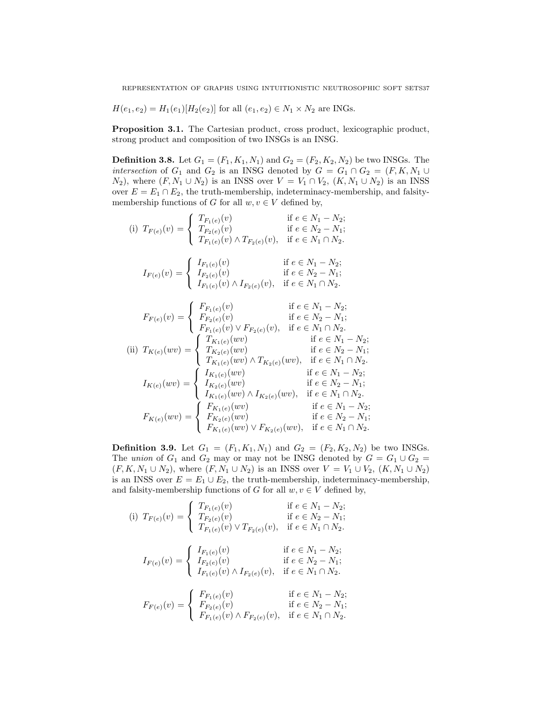$H(e_1, e_2) = H_1(e_1)[H_2(e_2)]$  for all  $(e_1, e_2) \in N_1 \times N_2$  are INGs.

Proposition 3.1. The Cartesian product, cross product, lexicographic product, strong product and composition of two INSGs is an INSG.

**Definition 3.8.** Let  $G_1 = (F_1, K_1, N_1)$  and  $G_2 = (F_2, K_2, N_2)$  be two INSGs. The intersection of  $G_1$  and  $G_2$  is an INSG denoted by  $G = G_1 \cap G_2 = (F, K, N_1 \cup$  $N_2$ , where  $(F, N_1 \cup N_2)$  is an INSS over  $V = V_1 \cap V_2$ ,  $(K, N_1 \cup N_2)$  is an INSS over  $E = E_1 \cap E_2$ , the truth-membership, indeterminacy-membership, and falsitymembership functions of G for all  $w, v \in V$  defined by,

(i) 
$$
T_{F(e)}(v) = \begin{cases} T_{F_1(e)}(v) & \text{if } e \in N_1 - N_2; \\ T_{F_2(e)}(v) & \text{if } e \in N_2 - N_1; \\ T_{F_1(e)}(v) \wedge T_{F_2(e)}(v), & \text{if } e \in N_1 \cap N_2. \end{cases}
$$
  
( $I_{F_1(e)}(v)$  if  $e \in N_1 - N_2$ ;

$$
I_{F(e)}(v) = \begin{cases} I_{F_1(e)}(v) & \text{if } e \in N_1 - N_2; \\ I_{F_2(e)}(v) & \text{if } e \in N_2 - N_1; \\ I_{F_1(e)}(v) \wedge I_{F_2(e)}(v), & \text{if } e \in N_1 \cap N_2. \end{cases}
$$

$$
F_{F(e)}(v) = \begin{cases} F_{F_1(e)}(v) & \text{if } e \in N_1 - N_2; \\ F_{F_2(e)}(v) & \text{if } e \in N_2 - N_1; \\ F_{F_1(e)}(v) \vee F_{F_2(e)}(v), & \text{if } e \in N_1 \cap N_2. \end{cases}
$$
  
\n(ii)  $T_{K(e)}(wv) = \begin{cases} T_{K_1(e)}(wv) & \text{if } e \in N_1 - N_2; \\ T_{K_2(e)}(wv) & \text{if } e \in N_2 - N_1; \\ T_{K_1(e)}(wv) \wedge T_{K_2(e)}(wv), & \text{if } e \in N_1 \cap N_2. \end{cases}$   
\n
$$
I_{K(e)}(wv) = \begin{cases} I_{K_1(e)}(wv) & \text{if } e \in N_1 - N_2; \\ I_{K_2(e)}(wv) & \text{if } e \in N_1 - N_2; \\ I_{K_1(e)}(wv) \wedge I_{K_2(e)}(wv), & \text{if } e \in N_2 - N_1; \\ I_{K_1(e)}(wv) \wedge I_{K_2(e)}(wv), & \text{if } e \in N_1 - N_2; \\ F_{K_2(e)}(wv) & \text{if } e \in N_2 - N_1; \\ F_{K_1(e)}(wv) \vee F_{K_2(e)}(wv), & \text{if } e \in N_2 - N_1; \\ F_{K_1(e)}(wv) \vee F_{K_2(e)}(wv), & \text{if } e \in N_1 \cap N_2. \end{cases}
$$

**Definition 3.9.** Let  $G_1 = (F_1, K_1, N_1)$  and  $G_2 = (F_2, K_2, N_2)$  be two INSGs. The union of  $G_1$  and  $G_2$  may or may not be INSG denoted by  $G = G_1 \cup G_2$  $(F, K, N_1 \cup N_2)$ , where  $(F, N_1 \cup N_2)$  is an INSS over  $V = V_1 \cup V_2$ ,  $(K, N_1 \cup N_2)$ is an INSS over  $E = E_1 \cup E_2$ , the truth-membership, indeterminacy-membership, and falsity-membership functions of G for all  $w, v \in V$  defined by,

(i) 
$$
T_{F(e)}(v) = \begin{cases} T_{F_1(e)}(v) & \text{if } e \in N_1 - N_2; \\ T_{F_2(e)}(v) & \text{if } e \in N_2 - N_1; \\ T_{F_1(e)}(v) \vee T_{F_2(e)}(v), & \text{if } e \in N_1 \cap N_2. \end{cases}
$$
  

$$
I_{F(e)}(v) = \begin{cases} I_{F_1(e)}(v) & \text{if } e \in N_1 - N_2; \\ I_{F_2(e)}(v) & \text{if } e \in N_2 - N_1; \\ I_{F_1(e)}(v) \wedge I_{F_2(e)}(v), & \text{if } e \in N_1 \cap N_2. \end{cases}
$$
  

$$
F_{F(e)}(v) = \begin{cases} F_{F_1(e)}(v) & \text{if } e \in N_1 - N_2; \\ F_{F_2(e)}(v) & \text{if } e \in N_1 - N_2; \\ F_{F_1(e)}(v) \wedge F_{F_2(e)}(v), & \text{if } e \in N_1 \cap N_2. \end{cases}
$$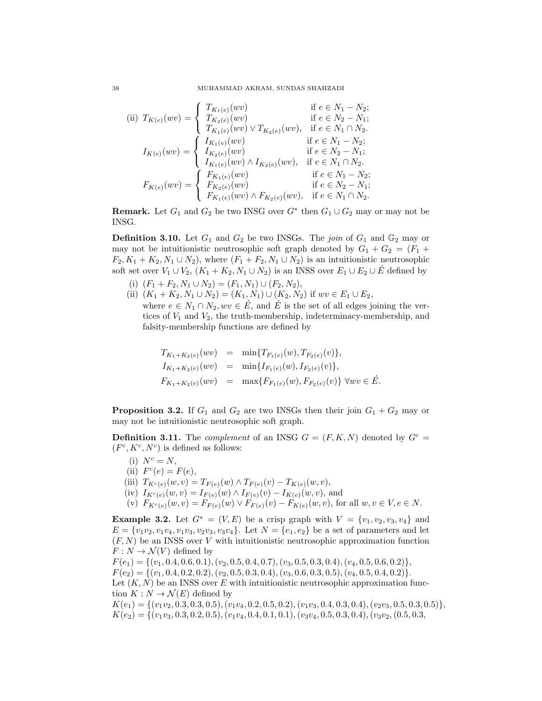(ii) 
$$
T_{K(e)}(wv) = \begin{cases} T_{K_1(e)}(wv) & \text{if } e \in N_1 - N_2; \\ T_{K_2(e)}(wv) & \text{if } e \in N_2 - N_1; \\ T_{K_1(e)}(wv) \vee T_{K_2(e)}(wv), & \text{if } e \in N_1 \cap N_2. \end{cases}
$$

$$
I_{K(e)}(wv) = \begin{cases} I_{K_1(e)}(wv) & \text{if } e \in N_1 - N_2; \\ I_{K_2(e)}(wv) & \text{if } e \in N_1 - N_2; \\ I_{K_1(e)}(wv) \wedge I_{K_2(e)}(wv), & \text{if } e \in N_2 - N_1; \\ I_{K_1(e)}(wv) \wedge I_{K_2(e)}(wv), & \text{if } e \in N_1 - N_2; \\ F_{K_2(e)}(wv) & \text{if } e \in N_2 - N_1; \\ F_{K_1(e)}(wv) \wedge F_{K_2(e)}(wv), & \text{if } e \in N_2 - N_1; \\ F_{K_1(e)}(wv) \wedge F_{K_2(e)}(wv), & \text{if } e \in N_1 \cap N_2. \end{cases}
$$

**Remark.** Let  $G_1$  and  $G_2$  be two INSG over  $G^*$  then  $G_1 \cup G_2$  may or may not be INSG.

**Definition 3.10.** Let  $G_1$  and  $G_2$  be two INSGs. The *join* of  $G_1$  and  $\mathbb{G}_2$  may or may not be intuitionistic neutrosophic soft graph denoted by  $G_1 + G_2 = (F_1 +$  $F_2, K_1 + K_2, N_1 \cup N_2$ , where  $(F_1 + F_2, N_1 \cup N_2)$  is an intuitionistic neutrosophic soft set over  $V_1 \cup V_2$ ,  $(K_1 + K_2, N_1 \cup N_2)$  is an INSS over  $E_1 \cup E_2 \cup E$ <sup>f</sup> defined by

- (i)  $(F_1 + F_2, N_1 \cup N_2) = (F_1, N_1) \cup (F_2, N_2),$
- (ii)  $(K_1 + K_2, N_1 \cup N_2) = (K_1, N_1) \cup (K_2, N_2)$  if  $wv \in E_1 \cup E_2$ , where  $e \in N_1 \cap N_2, wv \in \dot{E}$ , and  $\dot{E}$  is the set of all edges joining the vertices of  $V_1$  and  $V_2$ , the truth-membership, indeterminacy-membership, and falsity-membership functions are defined by

$$
T_{K_1+K_2(e)}(wv) = \min\{T_{F_1(e)}(w), T_{F_2(e)}(v)\},
$$
  
\n
$$
I_{K_1+K_2(e)}(wv) = \min\{I_{F_1(e)}(w), I_{F_2(e)}(v)\},
$$
  
\n
$$
F_{K_1+K_2(e)}(wv) = \max\{F_{F_1(e)}(w), F_{F_2(e)}(v)\} \forall wv \in \mathring{E}.
$$

**Proposition 3.2.** If  $G_1$  and  $G_2$  are two INSGs then their join  $G_1 + G_2$  may or may not be intuitionistic neutrosophic soft graph.

**Definition 3.11.** The *complement* of an INSG  $G = (F, K, N)$  denoted by  $G<sup>c</sup>$  $(F^c, K^c, N^c)$  is defined as follows:

- (i)  $N^c = N$ .
- (ii)  $F^c(e) = F(e)$ ,
- (iii)  $T_{K^c(e)}(w, v) = T_{F(e)}(w) \wedge T_{F(e)}(v) T_{K(e)}(w, v),$
- (iv)  $I_{K^c(e)}(w, v) = I_{F(e)}(w) \wedge I_{F(e)}(v) I_{K(e)}(w, v)$ , and
- (v)  $F_{K^c(e)}(w, v) = F_{F(e)}(w) \vee F_{F(e)}(v) F_{K(e)}(w, v)$ , for all  $w, v \in V, e \in N$ .

Example 3.2. Let  $G^* = (V, E)$  be a crisp graph with  $V = \{v_1, v_2, v_3, v_4\}$  and  $E = \{v_1v_2, v_1v_4, v_1v_3, v_2v_3, v_3v_4\}.$  Let  $N = \{e_1, e_2\}$  be a set of parameters and let  $(F, N)$  be an INSS over V with intuitionistic neutrosophic approximation function  $F: N \to \mathcal{N}(V)$  defined by

 $F(e_1) = \{(v_1, 0.4, 0.6, 0.1), (v_2, 0.5, 0.4, 0.7), (v_3, 0.5, 0.3, 0.4), (v_4, 0.5, 0.6, 0.2)\},\$  $F(e_2) = \{(v_1, 0.4, 0.2, 0.2), (v_2, 0.5, 0.3, 0.4), (v_3, 0.6, 0.3, 0.5), (v_4, 0.5, 0.4, 0.2)\}.$ Let  $(K, N)$  be an INSS over E with intuitionistic neutrosophic approximation function  $K: N \to \mathcal{N}(E)$  defined by  $K(e_1) = \{ (v_1v_2, 0.3, 0.3, 0.5), (v_1v_4, 0.2, 0.5, 0.2), (v_1v_3, 0.4, 0.3, 0.4), (v_2v_3, 0.5, 0.3, 0.5) \},\}$ 

 $K(e_2) = \{(v_1v_3, 0.3, 0.2, 0.5), (v_1v_4, 0.4, 0.1, 0.1), (v_3v_4, 0.5, 0.3, 0.4), (v_3v_2, (0.5, 0.3,$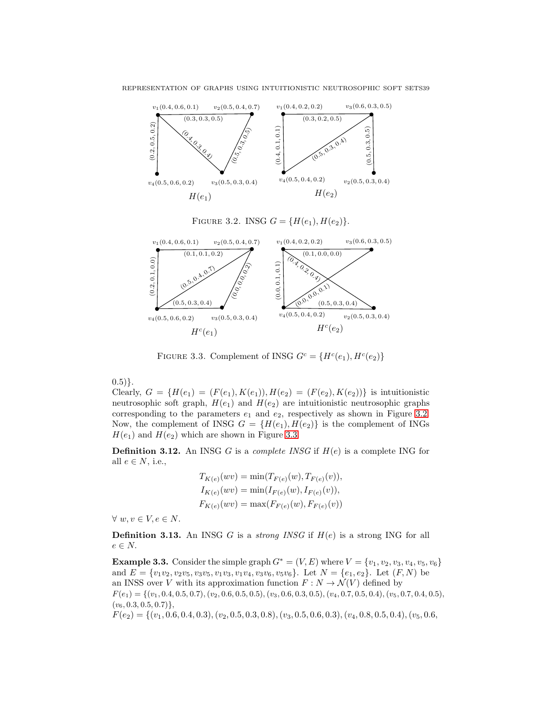

<span id="page-8-1"></span><span id="page-8-0"></span>FIGURE 3.3. Complement of INSG  $G^c = \{H^c(e_1), H^c(e_2)\}\$ 

 $(0.5)$ .

Clearly,  $G = \{H(e_1) = (F(e_1), K(e_1)), H(e_2) = (F(e_2), K(e_2))\}$  is intuitionistic neutrosophic soft graph,  $H(e_1)$  and  $H(e_2)$  are intuitionistic neutrosophic graphs corresponding to the parameters  $e_1$  and  $e_2$ , respectively as shown in Figure [3.2.](#page-8-0) Now, the complement of INSG  $G = \{H(e_1), H(e_2)\}\$ is the complement of INGs  $H(e_1)$  and  $H(e_2)$  which are shown in Figure [3.3.](#page-8-1)

**Definition 3.12.** An INSG G is a *complete INSG* if  $H(e)$  is a complete ING for all  $e \in N$ , i.e.,

$$
T_{K(e)}(wv) = \min(T_{F(e)}(w), T_{F(e)}(v)),
$$
  
\n
$$
I_{K(e)}(wv) = \min(I_{F(e)}(w), I_{F(e)}(v)),
$$
  
\n
$$
F_{K(e)}(wv) = \max(F_{F(e)}(w), F_{F(e)}(v))
$$

 $\forall w, v \in V, e \in N.$ 

**Definition 3.13.** An INSG G is a *strong INSG* if  $H(e)$  is a strong ING for all  $e \in N$ .

**Example 3.3.** Consider the simple graph  $G^* = (V, E)$  where  $V = \{v_1, v_2, v_3, v_4, v_5, v_6\}$ and  $E = \{v_1v_2, v_2v_5, v_3v_5, v_1v_3, v_1v_4, v_3v_6, v_5v_6\}.$  Let  $N = \{e_1, e_2\}.$  Let  $(F, N)$  be an INSS over V with its approximation function  $F: N \to \mathcal{N}(V)$  defined by  $F(e_1) = \{(v_1, 0.4, 0.5, 0.7), (v_2, 0.6, 0.5, 0.5), (v_3, 0.6, 0.3, 0.5), (v_4, 0.7, 0.5, 0.4), (v_5, 0.7, 0.4, 0.5),$  $(v_6, 0.3, 0.5, 0.7)$ ,  $F(e_2) = \{(v_1, 0.6, 0.4, 0.3), (v_2, 0.5, 0.3, 0.8), (v_3, 0.5, 0.6, 0.3), (v_4, 0.8, 0.5, 0.4), (v_5, 0.6,$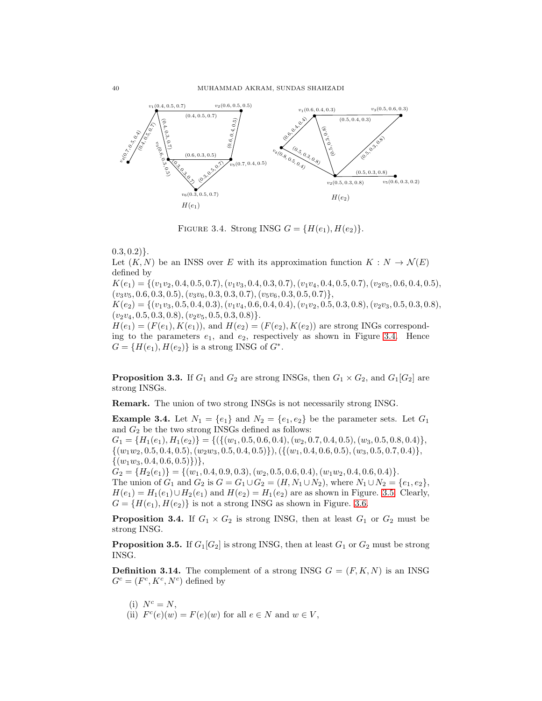

<span id="page-9-0"></span>FIGURE 3.4. Strong INSG  $G = \{H(e_1), H(e_2)\}.$ 

 $(0.3, 0.2)$ .

Let  $(K, N)$  be an INSS over E with its approximation function  $K : N \to \mathcal{N}(E)$ defined by

 $K(e_1) = \{ (v_1v_2, 0.4, 0.5, 0.7), (v_1v_3, 0.4, 0.3, 0.7), (v_1v_4, 0.4, 0.5, 0.7), (v_2v_5, 0.6, 0.4, 0.5),$  $(v_3v_5, 0.6, 0.3, 0.5), (v_3v_6, 0.3, 0.3, 0.7), (v_5v_6, 0.3, 0.5, 0.7)\},$ 

 $K(e_2) = \{(v_1v_3, 0.5, 0.4, 0.3), (v_1v_4, 0.6, 0.4, 0.4), (v_1v_2, 0.5, 0.3, 0.8), (v_2v_3, 0.5, 0.3, 0.8),$  $(v_2v_4, 0.5, 0.3, 0.8), (v_2v_5, 0.5, 0.3, 0.8)\}.$ 

 $H(e_1) = (F(e_1), K(e_1)),$  and  $H(e_2) = (F(e_2), K(e_2))$  are strong INGs corresponding to the parameters  $e_1$ , and  $e_2$ , respectively as shown in Figure [3.4.](#page-9-0) Hence  $G = \{H(e_1), H(e_2)\}\$ is a strong INSG of  $G^*$ .

**Proposition 3.3.** If  $G_1$  and  $G_2$  are strong INSGs, then  $G_1 \times G_2$ , and  $G_1[G_2]$  are strong INSGs.

Remark. The union of two strong INSGs is not necessarily strong INSG.

**Example 3.4.** Let  $N_1 = \{e_1\}$  and  $N_2 = \{e_1, e_2\}$  be the parameter sets. Let  $G_1$ and  $G_2$  be the two strong INSGs defined as follows:

 $G_1 = \{H_1(e_1), H_1(e_2)\} = \{(\{(w_1, 0.5, 0.6, 0.4), (w_2, 0.7, 0.4, 0.5), (w_3, 0.5, 0.8, 0.4)\},\$  $\{(w_1w_2, 0.5, 0.4, 0.5), (w_2w_3, 0.5, 0.4, 0.5)\}, (\{(w_1, 0.4, 0.6, 0.5), (w_3, 0.5, 0.7, 0.4)\},\$  $\{(w_1w_3, 0.4, 0.6, 0.5)\}\},$ 

 $G_2 = \{H_2(e_1)\} = \{(w_1, 0.4, 0.9, 0.3), (w_2, 0.5, 0.6, 0.4), (w_1w_2, 0.4, 0.6, 0.4)\}.$ 

The union of  $G_1$  and  $G_2$  is  $G = G_1 \cup G_2 = (H, N_1 \cup N_2)$ , where  $N_1 \cup N_2 = \{e_1, e_2\}$ ,  $H(e_1) = H_1(e_1) \cup H_2(e_1)$  and  $H(e_2) = H_1(e_2)$  are as shown in Figure. [3.5.](#page-10-0) Clearly,  $G = \{H(e_1), H(e_2)\}\$ is not a strong INSG as shown in Figure. [3.6.](#page-10-1)

**Proposition 3.4.** If  $G_1 \times G_2$  is strong INSG, then at least  $G_1$  or  $G_2$  must be strong INSG.

**Proposition 3.5.** If  $G_1[G_2]$  is strong INSG, then at least  $G_1$  or  $G_2$  must be strong INSG.

**Definition 3.14.** The complement of a strong INSG  $G = (F, K, N)$  is an INSG  $G^c = (F^c, K^c, N^c)$  defined by

- (i)  $N^c = N$ ,
- (ii)  $F^c(e)(w) = F(e)(w)$  for all  $e \in N$  and  $w \in V$ ,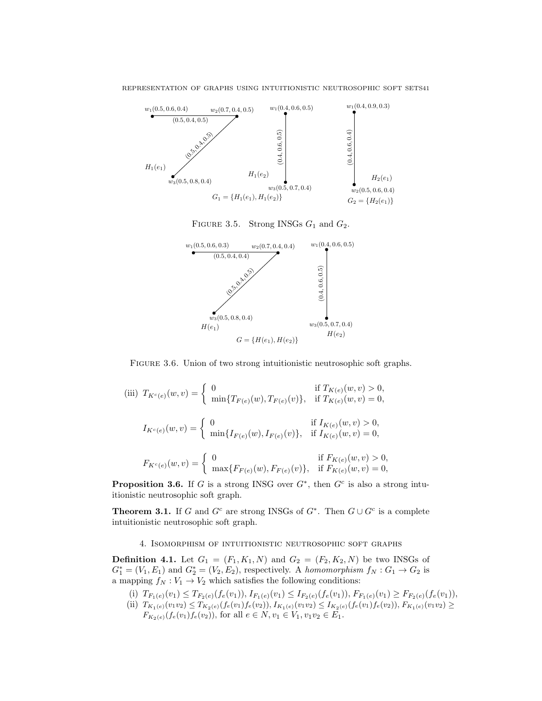

<span id="page-10-0"></span>FIGURE 3.5. Strong INSGs  $G_1$  and  $G_2$ .





<span id="page-10-1"></span>(iii)  $T_{K^c(e)}(w, v) = \begin{cases} 0 & \text{if } T_{K(e)}(w, v) > 0, \\ \min\{T_{\nabla(x)}(w), T_{\nabla(x)}(v)\}, & \text{if } T_{\nabla(x)}(w, v) = 0, \end{cases}$  $\min\{T_{F(e)}(w), T_{F(e)}(v)\}, \text{ if } T_{K(e)}(w, v) = 0,$  $I_{K^c(e)}(w, v) = \begin{cases} 0 & \text{if } I_{K(e)}(w, v) > 0, \\ \min\{I_{\nabla(s)}(w, I_{\nabla(s)}(v))\} & \text{if } I_{K(e)}(w, v) = 0, \end{cases}$  $\min\{I_{F(e)}(w), I_{F(e)}(v)\}, \text{ if } I_{K(e)}(w, v) = 0,$  $F_{K^c(e)}(w, v) = \begin{cases} 0 & \text{if } F_{K(e)}(w, v) > 0, \\ \max\{F_{\text{max}}(w), F_{\text{max}}(w)\} & \text{if } F_{\text{max}}(w, v) = 0, \end{cases}$  $\max\{F_{F(e)}(w), F_{F(e)}(v)\}, \text{ if } F_{K(e)}(w, v) = 0,$ 

**Proposition 3.6.** If G is a strong INSG over  $G^*$ , then  $G^c$  is also a strong intuitionistic neutrosophic soft graph.

**Theorem 3.1.** If G and  $G^c$  are strong INSGs of  $G^*$ . Then  $G \cup G^c$  is a complete intuitionistic neutrosophic soft graph.

4. Isomorphism of intuitionistic neutrosophic soft graphs

**Definition 4.1.** Let  $G_1 = (F_1, K_1, N)$  and  $G_2 = (F_2, K_2, N)$  be two INSGs of  $G_1^* = (V_1, E_1)$  and  $G_2^* = (V_2, E_2)$ , respectively. A homomorphism  $f_N : G_1 \to G_2$  is a mapping  $f_N : V_1 \to V_2$  which satisfies the following conditions:

- (i)  $T_{F_1(e)}(v_1) \leq T_{F_2(e)}(f_e(v_1)),$   $I_{F_1(e)}(v_1) \leq I_{F_2(e)}(f_e(v_1)),$   $F_{F_1(e)}(v_1) \geq F_{F_2(e)}(f_e(v_1)),$
- (ii)  $T_{K_1(e)}(v_1v_2) \leq T_{K_2(e)}(f_e(v_1)f_e(v_2)), I_{K_1(e)}(v_1v_2) \leq I_{K_2(e)}(f_e(v_1)f_e(v_2)), F_{K_1(e)}(v_1v_2) \geq$  $F_{K_2(e)}(f_e(v_1)f_e(v_2))$ , for all  $e \in N$ ,  $v_1 \in V_1$ ,  $v_1v_2 \in E_1$ .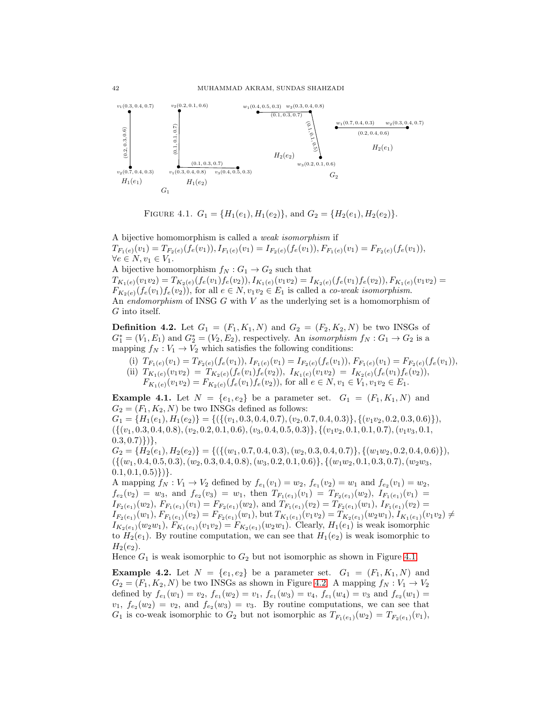

<span id="page-11-0"></span>FIGURE 4.1.  $G_1 = \{H_1(e_1), H_1(e_2)\}\text{, and } G_2 = \{H_2(e_1), H_2(e_2)\}.$ 

A bijective homomorphism is called a weak isomorphism if  $T_{F_1(e)}(v_1) = T_{F_2(e)}(f_e(v_1)),$   $I_{F_1(e)}(v_1) = I_{F_2(e)}(f_e(v_1)),$   $F_{F_1(e)}(v_1) = F_{F_2(e)}(f_e(v_1)),$  $\forall e \in N, v_1 \in V_1.$ A bijective homomorphism  $f_N : G_1 \to G_2$  such that  $T_{K_1(e)}(v_1v_2) = T_{K_2(e)}(f_e(v_1)f_e(v_2)), I_{K_1(e)}(v_1v_2) = I_{K_2(e)}(f_e(v_1)f_e(v_2)), F_{K_1(e)}(v_1v_2) =$  $F_{K_2(e)}(f_e(v_1)f_e(v_2))$ , for all  $e \in N$ ,  $v_1v_2 \in E_1$  is called a *co-weak isomorphism*. An endomorphism of INSG  $G$  with  $V$  as the underlying set is a homomorphism of G into itself.

**Definition 4.2.** Let  $G_1 = (F_1, K_1, N)$  and  $G_2 = (F_2, K_2, N)$  be two INSGs of  $G_1^* = (V_1, E_1)$  and  $G_2^* = (V_2, E_2)$ , respectively. An *isomorphism*  $f_N : G_1 \to G_2$  is a mapping  $f_N : V_1 \to V_2$  which satisfies the following conditions:

(i)  $T_{F_1(e)}(v_1) = T_{F_2(e)}(f_e(v_1)),$   $I_{F_1(e)}(v_1) = I_{F_2(e)}(f_e(v_1)),$   $F_{F_1(e)}(v_1) = F_{F_2(e)}(f_e(v_1)),$ (ii)  $T_{K_1(e)}(v_1v_2) = T_{K_2(e)}(f_e(v_1)f_e(v_2)),$   $I_{K_1(e)}(v_1v_2) = I_{K_2(e)}(f_e(v_1)f_e(v_2)),$  $F_{K_1(e)}(v_1v_2) = F_{K_2(e)}(f_e(v_1)f_e(v_2)),$  for all  $e \in N, v_1 \in V_1, v_1v_2 \in E_1$ .

**Example 4.1.** Let  $N = \{e_1, e_2\}$  be a parameter set.  $G_1 = (F_1, K_1, N)$  and  $G_2 = (F_1, K_2, N)$  be two INSGs defined as follows:

 $G_1 = \{H_1(e_1), H_1(e_2)\} = \{(\{(v_1, 0.3, 0.4, 0.7), (v_2, 0.7, 0.4, 0.3)\}, \{(v_1v_2, 0.2, 0.3, 0.6)\}\},\$ ({(v1, 0.3, 0.4, 0.8),(v2, 0.2, 0.1, 0.6),(v3, 0.4, 0.5, 0.3)}, {(v1v2, 0.1, 0.1, 0.7),(v1v3, 0.1,  $(0.3, 0.7)\})$ ,

 $G_2 = \{H_2(e_1), H_2(e_2)\} = \{(\{(w_1, 0.7, 0.4, 0.3), (w_2, 0.3, 0.4, 0.7)\}, \{(w_1w_2, 0.2, 0.4, 0.6)\}\},\$  $({(w_1, 0.4, 0.5, 0.3), (w_2, 0.3, 0.4, 0.8), (w_3, 0.2, 0.1, 0.6)}, {(w_1w_2, 0.1, 0.3, 0.7), (w_2w_3,$  $(0.1, 0.1, 0.5)\})$ .

A mapping  $f_N: V_1 \to V_2$  defined by  $f_{e_1}(v_1) = w_2$ ,  $f_{e_1}(v_2) = w_1$  and  $f_{e_2}(v_1) = w_2$ ,  $f_{e_2}(v_2) = w_3$ , and  $f_{e_2}(v_3) = w_1$ , then  $T_{F_1(e_1)}(v_1) = T_{F_2(e_1)}(w_2)$ ,  $I_{F_1(e_1)}(v_1) =$  $I_{F_2(e_1)}(w_2)$ ,  $F_{F_1(e_1)}(v_1) = F_{F_2(e_1)}(w_2)$ , and  $T_{F_1(e_1)}(v_2) = T_{F_2(e_1)}(w_1)$ ,  $I_{F_1(e_1)}(v_2) =$  $I_{F_2(e_1)}(w_1), F_{F_1(e_1)}(v_2) = F_{F_2(e_1)}(w_1), \text{ but } T_{K_1(e_1)}(v_1v_2) = T_{K_2(e_1)}(w_2w_1), I_{K_1(e_1)}(v_1v_2) \neq$  $I_{K_2(e_1)}(w_2w_1), F_{K_1(e_1)}(v_1v_2) = F_{K_2(e_1)}(w_2w_1)$ . Clearly,  $H_1(e_1)$  is weak isomorphic to  $H_2(e_1)$ . By routine computation, we can see that  $H_1(e_2)$  is weak isomorphic to  $H_2(e_2)$ .

Hence  $G_1$  is weak isomorphic to  $G_2$  but not isomorphic as shown in Figure [4.1.](#page-11-0)

**Example 4.2.** Let  $N = \{e_1, e_2\}$  be a parameter set.  $G_1 = (F_1, K_1, N)$  and  $G_2 = (F_1, K_2, N)$  be two INSGs as shown in Figure [4.2.](#page-12-0) A mapping  $f_N : V_1 \to V_2$ defined by  $f_{e_1}(w_1) = v_2$ ,  $f_{e_1}(w_2) = v_1$ ,  $f_{e_1}(w_3) = v_4$ ,  $f_{e_1}(w_4) = v_3$  and  $f_{e_2}(w_1) = v_4$  $v_1, f_{e_2}(w_2) = v_2$ , and  $f_{e_2}(w_3) = v_3$ . By routine computations, we can see that  $G_1$  is co-weak isomorphic to  $G_2$  but not isomorphic as  $T_{F_1(e_1)}(w_2) = T_{F_2(e_1)}(v_1)$ ,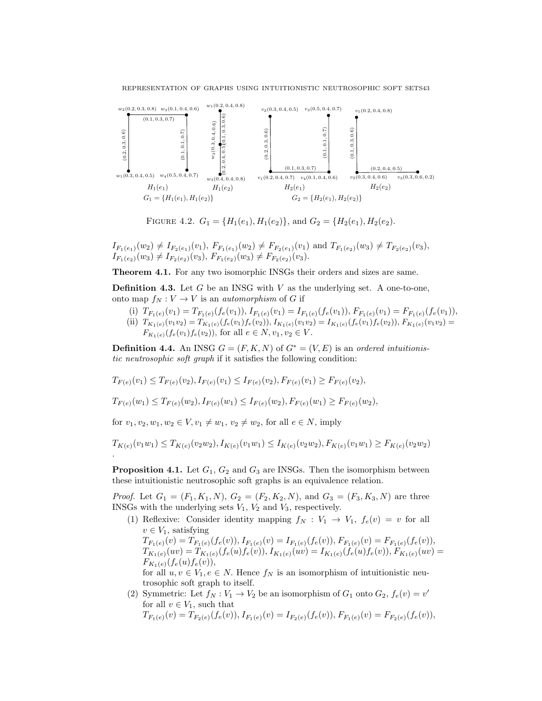REPRESENTATION OF GRAPHS USING INTUITIONISTIC NEUTROSOPHIC SOFT SETS43



<span id="page-12-0"></span>FIGURE 4.2.  $G_1 = \{H_1(e_1), H_1(e_2)\}\text{, and } G_2 = \{H_2(e_1), H_2(e_2)\text{.}$ 

 $I_{F_1(e_1)}(w_2) \neq I_{F_2(e_1)}(v_1)$ ,  $F_{F_1(e_1)}(w_2) \neq F_{F_2(e_1)}(v_1)$  and  $T_{F_1(e_2)}(w_3) \neq T_{F_2(e_2)}(v_3)$ ,  $I_{F_1(e_2)}(w_3) \neq I_{F_2(e_2)}(v_3), F_{F_1(e_2)}(w_3) \neq F_{F_2(e_2)}(v_3).$ 

Theorem 4.1. For any two isomorphic INSGs their orders and sizes are same.

**Definition 4.3.** Let G be an INSG with  $V$  as the underlying set. A one-to-one, onto map  $f_N: V \to V$  is an *automorphism* of G if

- (i)  $T_{F_1(e)}(v_1) = T_{F_1(e)}(f_e(v_1)),$   $I_{F_1(e)}(v_1) = I_{F_1(e)}(f_e(v_1)),$   $F_{F_1(e)}(v_1) = F_{F_1(e)}(f_e(v_1)),$
- (ii)  $T_{K_1(e)}(v_1v_2) = T_{K_1(e)}(f_e(v_1)f_e(v_2)),$   $I_{K_1(e)}(v_1v_2) = I_{K_1(e)}(f_e(v_1)f_e(v_2)),$   $F_{K_1(e)}(v_1v_2) =$  $F_{K_1(e)}(f_e(v_1)f_e(v_2))$ , for all  $e \in N, v_1, v_2 \in V$ .

**Definition 4.4.** An INSG  $G = (F, K, N)$  of  $G^* = (V, E)$  is an ordered intuitionistic neutrosophic soft graph if it satisfies the following condition:

$$
T_{F(e)}(v_1) \leq T_{F(e)}(v_2), I_{F(e)}(v_1) \leq I_{F(e)}(v_2), F_{F(e)}(v_1) \geq F_{F(e)}(v_2),
$$

 $T_{F(e)}(w_1) \leq T_{F(e)}(w_2), I_{F(e)}(w_1) \leq I_{F(e)}(w_2), F_{F(e)}(w_1) \geq F_{F(e)}(w_2),$ 

for  $v_1, v_2, w_1, w_2 \in V, v_1 \neq w_1, v_2 \neq w_2$ , for all  $e \in N$ , imply

$$
T_{K(e)}(v_1w_1) \leq T_{K(e)}(v_2w_2), I_{K(e)}(v_1w_1) \leq I_{K(e)}(v_2w_2), F_{K(e)}(v_1w_1) \geq F_{K(e)}(v_2w_2).
$$

**Proposition 4.1.** Let  $G_1$ ,  $G_2$  and  $G_3$  are INSGs. Then the isomorphism between these intuitionistic neutrosophic soft graphs is an equivalence relation.

*Proof.* Let  $G_1 = (F_1, K_1, N), G_2 = (F_2, K_2, N),$  and  $G_3 = (F_3, K_3, N)$  are three INSGs with the underlying sets  $V_1$ ,  $V_2$  and  $V_3$ , respectively.

(1) Reflexive: Consider identity mapping  $f_N : V_1 \to V_1$ ,  $f_e(v) = v$  for all  $v \in V_1$ , satisfying  $T_{F_1(e)}(v) = T_{F_1(e)}(f_e(v)),$   $I_{F_1(e)}(v) = I_{F_1(e)}(f_e(v)),$   $F_{F_1(e)}(v) = F_{F_1(e)}(f_e(v)),$ 

 $T_{K_1(e)}(uv) = T_{K_1(e)}(f_e(u)f_e(v)),$   $I_{K_1(e)}(uv) = I_{K_1(e)}(f_e(u)f_e(v)),$   $F_{K_1(e)}(uv) =$  $F_{K_1(e)}(f_e(u)f_e(v)),$ 

for all  $u, v \in V_1, e \in N$ . Hence  $f_N$  is an isomorphism of intuitionistic neutrosophic soft graph to itself.

(2) Symmetric: Let  $f_N : V_1 \to V_2$  be an isomorphism of  $G_1$  onto  $G_2$ ,  $f_e(v) = v'$ for all  $v \in V_1$ , such that  $T_{F_1(e)}(v) = T_{F_2(e)}(f_e(v)),$   $I_{F_1(e)}(v) = I_{F_2(e)}(f_e(v)),$   $F_{F_1(e)}(v) = F_{F_2(e)}(f_e(v)),$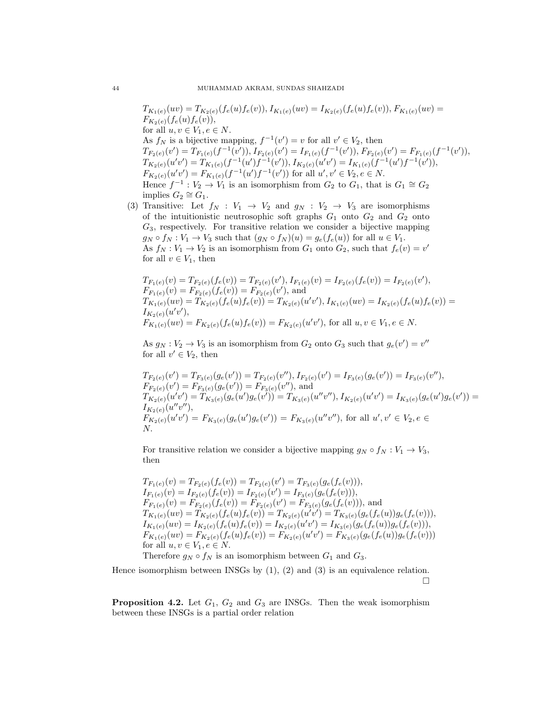$T_{K_1(e)}(uv) = T_{K_2(e)}(f_e(u)f_e(v)),$   $I_{K_1(e)}(uv) = I_{K_2(e)}(f_e(u)f_e(v)),$   $F_{K_1(e)}(uv) =$  $F_{K_2(e)}(f_e(u)f_e(v)),$ for all  $u, v \in V_1, e \in N$ . As  $f_N$  is a bijective mapping,  $f^{-1}(v') = v$  for all  $v' \in V_2$ , then  $T_{F_2(e)}(v') = T_{F_1(e)}(f^{-1}(v')), I_{F_2(e)}(v') = I_{F_1(e)}(f^{-1}(v')), F_{F_2(e)}(v') = F_{F_1(e)}(f^{-1}(v')),$  $T_{K_2(e)}(u'v') = T_{K_1(e)}(f^{-1}(u')f^{-1}(v')), I_{K_2(e)}(u'v') = I_{K_1(e)}(f^{-1}(u')f^{-1}(v')),$  $F_{K_2(e)}(u'v') = F_{K_1(e)}(f^{-1}(u')f^{-1}(v'))$  for all  $u', v' \in V_2, e \in N$ . Hence  $f^{-1}: V_2 \to V_1$  is an isomorphism from  $G_2$  to  $G_1$ , that is  $G_1 \cong G_2$ implies  $G_2 \cong G_1$ .

(3) Transitive: Let  $f_N : V_1 \to V_2$  and  $g_N : V_2 \to V_3$  are isomorphisms of the intuitionistic neutrosophic soft graphs  $G_1$  onto  $G_2$  and  $G_2$  onto  $G_3$ , respectively. For transitive relation we consider a bijective mapping  $g_N \circ f_N : V_1 \to V_3$  such that  $(g_N \circ f_N)(u) = g_e(f_e(u))$  for all  $u \in V_1$ . As  $f_N: V_1 \to V_2$  is an isomorphism from  $G_1$  onto  $G_2$ , such that  $f_e(v) = v'$ for all  $v \in V_1$ , then

$$
T_{F_1(e)}(v) = T_{F_2(e)}(f_e(v)) = T_{F_2(e)}(v'), I_{F_1(e)}(v) = I_{F_2(e)}(f_e(v)) = I_{F_2(e)}(v'),
$$
  
\n
$$
F_{F_1(e)}(v) = F_{F_2(e)}(f_e(v)) = F_{F_2(e)}(v'),
$$
 and  
\n
$$
T_{K_1(e)}(uv) = T_{K_2(e)}(f_e(u)f_e(v)) = T_{K_2(e)}(u'v'), I_{K_1(e)}(uv) = I_{K_2(e)}(f_e(u)f_e(v)) =
$$
  
\n
$$
F_{K_1(e)}(uv') = F_{K_2(e)}(f_e(u)f_e(v)) = F_{K_2(e)}(u'v'),
$$
 for all  $u, v \in V_1, e \in N$ .

As  $g_N : V_2 \to V_3$  is an isomorphism from  $G_2$  onto  $G_3$  such that  $g_e(v') = v''$ for all  $v' \in V_2$ , then

$$
T_{F_2(e)}(v') = T_{F_3(e)}(g_e(v')) = T_{F_2(e)}(v''), I_{F_2(e)}(v') = I_{F_3(e)}(g_e(v')) = I_{F_3(e)}(v''),
$$
  
\n
$$
F_{F_2(e)}(v') = F_{F_3(e)}(g_e(v')) = F_{F_3(e)}(v''),
$$
 and  
\n
$$
T_{K_2(e)}(u'v') = T_{K_3(e)}(g_e(u')g_e(v')) = T_{K_3(e)}(u''v''), I_{K_2(e)}(u'v') = I_{K_3(e)}(g_e(u')g_e(v')) =
$$
  
\n
$$
I_{K_2(e)}(u''v''),
$$
  
\n
$$
F_{K_2(e)}(u''v') = F_{K_3(e)}(g_e(u')g_e(v')) = F_{K_3(e)}(u''v''),
$$
 for all  $u', v' \in V_2, e \in$   
\n
$$
N.
$$

For transitive relation we consider a bijective mapping  $g_N \circ f_N : V_1 \to V_3$ , then

$$
T_{F_1(e)}(v) = T_{F_2(e)}(f_e(v)) = T_{F_2(e)}(v') = T_{F_3(e)}(g_e(f_e(v))),
$$
  
\n
$$
I_{F_1(e)}(v) = I_{F_2(e)}(f_e(v)) = I_{F_2(e)}(v') = I_{F_3(e)}(g_e(f_e(v))),
$$
  
\n
$$
F_{F_1(e)}(v) = F_{F_2(e)}(f_e(v)) = F_{F_2(e)}(v') = F_{F_3(e)}(g_e(f_e(v))),
$$
 and  
\n
$$
T_{K_1(e)}(uv) = T_{K_2(e)}(f_e(u)f_e(v)) = T_{K_2(e)}(u'v') = T_{K_3(e)}(g_e(f_e(u))g_e(f_e(v))),
$$
  
\n
$$
I_{K_1(e)}(uv) = I_{K_2(e)}(f_e(u)f_e(v)) = I_{K_2(e)}(u'v') = I_{K_3(e)}(g_e(f_e(u))g_e(f_e(v))),
$$
  
\n
$$
F_{K_1(e)}(uv) = F_{K_2(e)}(f_e(u)f_e(v)) = F_{K_2(e)}(u'v') = F_{K_3(e)}(g_e(f_e(u))g_e(f_e(v)))
$$
  
\nfor all  $u, v \in V_1, e \in N$ .

Therefore  $g_N \circ f_N$  is an isomorphism between  $G_1$  and  $G_3$ .

Hence isomorphism between INSGs by  $(1)$ ,  $(2)$  and  $(3)$  is an equivalence relation.  $\Box$ 

**Proposition 4.2.** Let  $G_1$ ,  $G_2$  and  $G_3$  are INSGs. Then the weak isomorphism between these INSGs is a partial order relation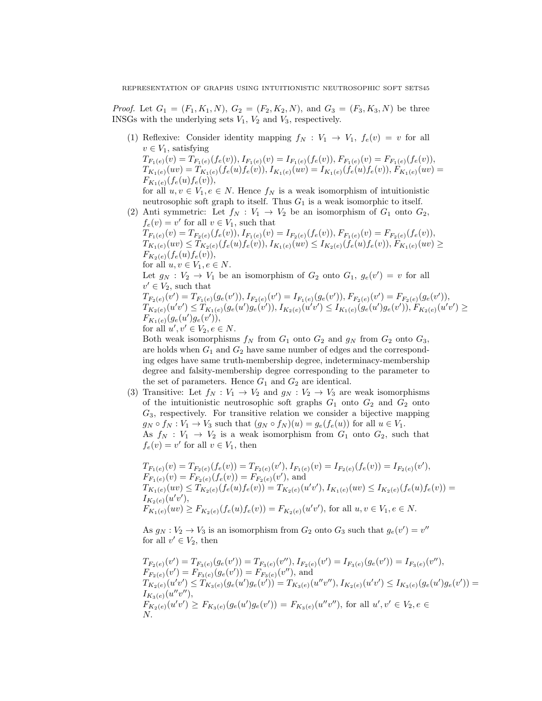*Proof.* Let  $G_1 = (F_1, K_1, N), G_2 = (F_2, K_2, N),$  and  $G_3 = (F_3, K_3, N)$  be three INSGs with the underlying sets  $V_1$ ,  $V_2$  and  $V_3$ , respectively.

- (1) Reflexive: Consider identity mapping  $f_N : V_1 \to V_1$ ,  $f_e(v) = v$  for all  $v \in V_1$ , satisfying  $T_{F_1(e)}(v) = T_{F_1(e)}(f_e(v)),$   $I_{F_1(e)}(v) = I_{F_1(e)}(f_e(v)),$   $F_{F_1(e)}(v) = F_{F_1(e)}(f_e(v)),$  $T_{K_1(e)}(uv) = T_{K_1(e)}(f_e(u)f_e(v)),$   $I_{K_1(e)}(uv) = I_{K_1(e)}(f_e(u)f_e(v)),$   $F_{K_1(e)}(uv) =$  $F_{K_1(e)}(f_e(u)f_e(v)),$ for all  $u, v \in V_1, e \in N$ . Hence  $f_N$  is a weak isomorphism of intuitionistic neutrosophic soft graph to itself. Thus  $G_1$  is a weak isomorphic to itself.
- (2) Anti symmetric: Let  $f_N : V_1 \to V_2$  be an isomorphism of  $G_1$  onto  $G_2$ ,  $f_e(v) = v'$  for all  $v \in V_1$ , such that  $T_{F_1(e)}(v) = T_{F_2(e)}(f_e(v)), I_{F_1(e)}(v) = I_{F_2(e)}(f_e(v)), F_{F_1(e)}(v) = F_{F_2(e)}(f_e(v)),$

 $T_{K_1(e)}(uv) \leq T_{K_2(e)}(f_e(u)f_e(v)),$   $I_{K_1(e)}(uv) \leq I_{K_2(e)}(f_e(u)f_e(v)),$   $F_{K_1(e)}(uv) \geq$  $F_{K_2(e)}(f_e(u)f_e(v)),$ for all  $u, v \in V_1, e \in N$ .

Let  $g_N : V_2 \to V_1$  be an isomorphism of  $G_2$  onto  $G_1, g_e(v') = v$  for all  $v' \in V_2$ , such that

 $T_{F_2(e)}(v') = T_{F_1(e)}(g_e(v')), I_{F_2(e)}(v') = I_{F_1(e)}(g_e(v')), F_{F_2(e)}(v') = F_{F_2(e)}(g_e(v')),$  $T_{K_{2}(e)}(u'v')\leq T_{K_{1}(e)}(g_{e}(u')g_{e}(v')), I_{K_{2}(e)}(u'v')\leq I_{K_{1}(e)}(g_{e}(u')g_{e}(v')), F_{K_{2}(e)}(u'v')\geq 0$  $F_{K_1(e)}(g_e(u')g_e(v')),$ for all  $u', v' \in V_2, e \in N$ .

Both weak isomorphisms  $f_N$  from  $G_1$  onto  $G_2$  and  $g_N$  from  $G_2$  onto  $G_3$ , are holds when  $G_1$  and  $G_2$  have same number of edges and the corresponding edges have same truth-membership degree, indeterminacy-membership degree and falsity-membership degree corresponding to the parameter to the set of parameters. Hence  $G_1$  and  $G_2$  are identical.

(3) Transitive: Let  $f_N : V_1 \to V_2$  and  $g_N : V_2 \to V_3$  are weak isomorphisms of the intuitionistic neutrosophic soft graphs  $G_1$  onto  $G_2$  and  $G_2$  onto  $G_3$ , respectively. For transitive relation we consider a bijective mapping  $g_N \circ f_N : V_1 \to V_3$  such that  $(g_N \circ f_N)(u) = g_e(f_e(u))$  for all  $u \in V_1$ . As  $f_N : V_1 \to V_2$  is a weak isomorphism from  $G_1$  onto  $G_2$ , such that  $f_e(v) = v'$  for all  $v \in V_1$ , then

$$
T_{F_1(e)}(v) = T_{F_2(e)}(f_e(v)) = T_{F_2(e)}(v'), I_{F_1(e)}(v) = I_{F_2(e)}(f_e(v)) = I_{F_2(e)}(v'),
$$
  
\n
$$
F_{F_1(e)}(v) = F_{F_2(e)}(f_e(v)) = F_{F_2(e)}(v'),
$$
 and  
\n
$$
T_{K_1(e)}(uv) \le T_{K_2(e)}(f_e(u)f_e(v)) = T_{K_2(e)}(u'v'), I_{K_1(e)}(uv) \le I_{K_2(e)}(f_e(u)f_e(v)) =
$$
  
\n
$$
I_{K_2(e)}(u'v'),
$$
  
\n
$$
F_{K_1(e)}(uv) \ge F_{K_2(e)}(f_e(u)f_e(v)) = F_{K_2(e)}(u'v'),
$$
 for all  $u, v \in V_1, e \in N$ .

As  $g_N : V_2 \to V_3$  is an isomorphism from  $G_2$  onto  $G_3$  such that  $g_e(v') = v''$ for all  $v' \in V_2$ , then

$$
T_{F_2(e)}(v') = T_{F_3(e)}(g_e(v')) = T_{F_3(e)}(v''), I_{F_2(e)}(v') = I_{F_3(e)}(g_e(v')) = I_{F_3(e)}(v''),
$$
  
\n
$$
F_{F_2(e)}(v') = F_{F_3(e)}(g_e(v')) = F_{F_3(e)}(v''),
$$
 and  
\n
$$
T_{K_2(e)}(u'v') \le T_{K_3(e)}(g_e(u')g_e(v')) = T_{K_3(e)}(u''v''), I_{K_2(e)}(u'v') \le I_{K_3(e)}(g_e(u')g_e(v')) =
$$
  
\n
$$
I_{K_3(e)}(u''v''),
$$
  
\n
$$
F_{K_2(e)}(u'v') \ge F_{K_3(e)}(g_e(u')g_e(v')) = F_{K_3(e)}(u''v''),
$$
 for all  $u', v' \in V_2, e \in$   
\n
$$
N.
$$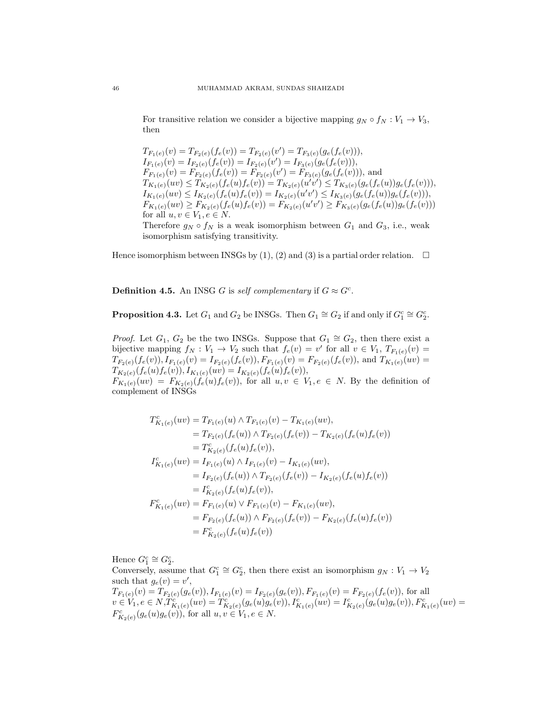For transitive relation we consider a bijective mapping  $g_N \circ f_N : V_1 \to V_3$ , then

$$
T_{F_1(e)}(v) = T_{F_2(e)}(f_e(v)) = T_{F_2(e)}(v') = T_{F_3(e)}(g_e(f_e(v))),
$$
  
\n
$$
I_{F_1(e)}(v) = I_{F_2(e)}(f_e(v)) = I_{F_2(e)}(v') = I_{F_3(e)}(g_e(f_e(v))),
$$
  
\n
$$
F_{F_1(e)}(v) = F_{F_2(e)}(f_e(v)) = F_{F_2(e)}(v') = F_{F_3(e)}(g_e(f_e(v))),
$$
 and  
\n
$$
T_{K_1(e)}(uv) \le T_{K_2(e)}(f_e(u)f_e(v)) = T_{K_2(e)}(u'v') \le T_{K_3(e)}(g_e(f_e(u))g_e(f_e(v))),
$$
  
\n
$$
I_{K_1(e)}(uv) \le I_{K_2(e)}(f_e(u)f_e(v)) = I_{K_2(e)}(u'v') \le I_{K_3(e)}(g_e(f_e(u))g_e(f_e(v))),
$$
  
\n
$$
F_{K_1(e)}(uv) \ge F_{K_2(e)}(f_e(u)f_e(v)) = F_{K_2(e)}(u'v') \ge F_{K_3(e)}(g_e(f_e(u))g_e(f_e(v)))
$$
  
\nfor all  $u, v \in V_1, e \in N$ .  
\nTherefore  $g_N \circ f_N$  is a weak isomorphism between  $G_1$  and  $G_3$ , i.e., weak

isomorphism satisfying transitivity.

Hence isomorphism between INSGs by (1), (2) and (3) is a partial order relation.  $\Box$ 

**Definition 4.5.** An INSG G is self complementary if  $G \approx G^c$ .

**Proposition 4.3.** Let  $G_1$  and  $G_2$  be INSGs. Then  $G_1 \cong G_2$  if and only if  $G_1^c \cong G_2^c$ .

*Proof.* Let  $G_1, G_2$  be the two INSGs. Suppose that  $G_1 \cong G_2$ , then there exist a bijective mapping  $f_N: V_1 \to V_2$  such that  $f_e(v) = v'$  for all  $v \in V_1$ ,  $T_{F_1(e)}(v) =$  $T_{F_2(e)}(f_e(v)), I_{F_1(e)}(v) = I_{F_2(e)}(f_e(v)), F_{F_1(e)}(v) = F_{F_2(e)}(f_e(v)),$  and  $T_{K_1(e)}(uv) =$  $T_{K_2(e)}(f_e(u)f_e(v)), I_{K_1(e)}(uv) = I_{K_2(e)}(f_e(u)f_e(v)),$  $F_{K_1(e)}(uv) = F_{K_2(e)}(f_e(u)f_e(v))$ , for all  $u, v \in V_1, e \in N$ . By the definition of complement of INSGs

$$
T_{K_1(e)}^c(uv) = T_{F_1(e)}(u) \wedge T_{F_1(e)}(v) - T_{K_1(e)}(uv),
$$
  
\n
$$
= T_{F_2(e)}(f_e(u)) \wedge T_{F_2(e)}(f_e(v)) - T_{K_2(e)}(f_e(u)f_e(v))
$$
  
\n
$$
= T_{K_2(e)}^c(f_e(u)f_e(v)),
$$
  
\n
$$
I_{K_1(e)}^c(uv) = I_{F_1(e)}(u) \wedge I_{F_1(e)}(v) - I_{K_1(e)}(uv),
$$
  
\n
$$
= I_{F_2(e)}(f_e(u)) \wedge T_{F_2(e)}(f_e(v)) - I_{K_2(e)}(f_e(u)f_e(v))
$$
  
\n
$$
= I_{K_2(e)}^c(f_e(u)f_e(v)),
$$
  
\n
$$
F_{K_1(e)}^c(uv) = F_{F_1(e)}(u) \vee F_{F_1(e)}(v) - F_{K_1(e)}(uv),
$$
  
\n
$$
= F_{F_2(e)}^c(f_e(u)) \wedge F_{F_2(e)}(f_e(v)) - F_{K_2(e)}(f_e(u)f_e(v))
$$
  
\n
$$
= F_{K_2(e)}^c(f_e(u)f_e(v))
$$

Hence  $G_1^c \cong G_2^c$ .

Conversely, assume that  $G_1^c \cong G_2^c$ , then there exist an isomorphism  $g_N : V_1 \to V_2$ such that  $g_e(v) = v'$ ,  $T_{F_1(e)}(v) = T_{F_2(e)}(g_e(v)), I_{F_1(e)}(v) = I_{F_2(e)}(g_e(v)), F_{F_1(e)}(v) = F_{F_2(e)}(f_e(v)),$  for all  $v \in V_1, e \in N, T_{K_1(e)}^{c'}(uv) = T_{K_2(e)}^{c'}(g_e(u)g_e(v)), I_{K_1(e)}^{c}(uv) = I_{K_2(e)}^{c}(g_e(u)g_e(v)), F_{K_1(e)}^{c}(uv) =$  $F_{K_2(e)}^c(g_e(u)g_e(v))$ , for all  $u, v \in V_1, e \in N$ .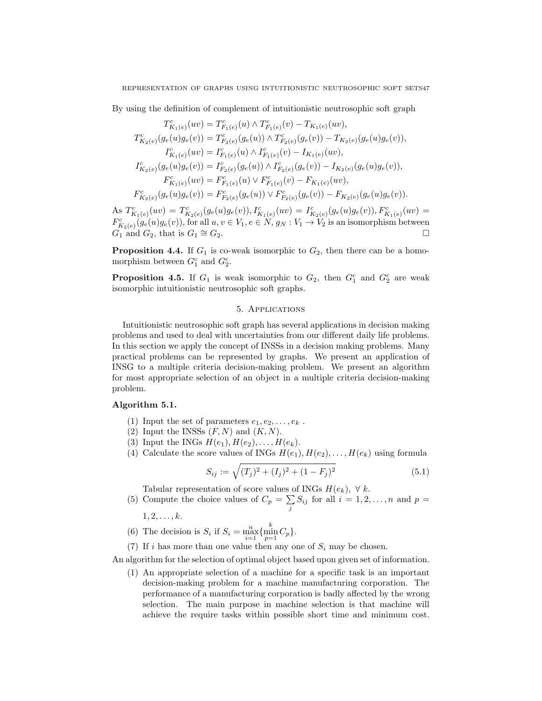By using the definition of complement of intuitionistic neutrosophic soft graph  $\overline{c}$ 

 $\overline{c}$ 

$$
T_{K_1(e)}^c(uv) = T_{F_1(e)}^c(u) \wedge T_{F_1(e)}^c(v) - T_{K_1(e)}(uv),
$$
  
\n
$$
T_{K_2(e)}^c(g_e(u)g_e(v)) = T_{F_2(e)}^c(g_e(u)) \wedge T_{F_2(e)}^c(g_e(v)) - T_{K_2(e)}(g_e(u)g_e(v)),
$$
  
\n
$$
I_{K_1(e)}^c(uv) = I_{F_1(e)}^c(u) \wedge I_{F_1(e)}^c(v) - I_{K_1(e)}(uv),
$$
  
\n
$$
I_{K_2(e)}^c(g_e(u)g_e(v)) = I_{F_2(e)}^c(g_e(u)) \wedge I_{F_2(e)}^c(g_e(v)) - I_{K_2(e)}(g_e(u)g_e(v)),
$$
  
\n
$$
F_{K_1(e)}^c(uv) = F_{F_1(e)}^c(u) \vee F_{F_1(e)}^c(v) - F_{K_1(e)}(uv),
$$
  
\n
$$
F_{K_2(e)}^c(g_e(u)g_e(v)) = F_{F_2(e)}^c(g_e(u)) \vee F_{F_2(e)}^c(g_e(v)) - F_{K_2(e)}(g_e(u)g_e(v)).
$$

As  $T_{K_1(e)}^c(uv) = T_{K_2(e)}^c(g_e(u)g_e(v)), I_{K_1(e)}^c(uv) = I_{K_2(e)}^c(g_e(u)g_e(v)), F_{K_1(e)}^c(uv) =$  $F_{K_2(e)}^c(g_e(u)g_e(v))$ , for all  $u, v \in V_1, e \in N, g_N: V_1 \to V_2$  is an isomorphism between  $G_1$  and  $G_2$ , that is  $G_1 \cong G_2$ .  $\cong G_2.$ 

**Proposition 4.4.** If  $G_1$  is co-weak isomorphic to  $G_2$ , then there can be a homomorphism between  $G_1^c$  and  $G_2^c$ .

**Proposition 4.5.** If  $G_1$  is weak isomorphic to  $G_2$ , then  $G_1^c$  and  $G_2^c$  are weak isomorphic intuitionistic neutrosophic soft graphs.

#### 5. Applications

Intuitionistic neutrosophic soft graph has several applications in decision making problems and used to deal with uncertainties from our different daily life problems. In this section we apply the concept of INSSs in a decision making problems. Many practical problems can be represented by graphs. We present an application of INSG to a multiple criteria decision-making problem. We present an algorithm for most appropriate selection of an object in a multiple criteria decision-making problem.

# Algorithm 5.1.

- (1) Input the set of parameters  $e_1, e_2, \ldots, e_k$ .
- (2) Input the INSSs  $(F, N)$  and  $(K, N)$ .
- (3) Input the INGs  $H(e_1), H(e_2), \ldots, H(e_k)$ .
- (4) Calculate the score values of INGs  $H(e_1), H(e_2), \ldots, H(e_k)$  using formula

$$
S_{ij} := \sqrt{(T_j)^2 + (I_j)^2 + (1 - F_j)^2}
$$
\n(5.1)

Tabular representation of score values of INGs  $H(e_k)$ ,  $\forall k$ .

(5) Compute the choice values of  $C_p = \sum_j S_{ij}$  for all  $i = 1, 2, ..., n$  and  $p =$ 

 $1, 2, \ldots, k.$ 

- (6) The decision is  $S_i$  if  $S_i = \max_{i=1}^n \{\min_{p=1}^k C_p\}.$
- (7) If i has more than one value then any one of  $S_i$  may be chosen.

An algorithm for the selection of optimal object based upon given set of information.

(1) An appropriate selection of a machine for a specific task is an important decision-making problem for a machine manufacturing corporation. The performance of a manufacturing corporation is badly affected by the wrong selection. The main purpose in machine selection is that machine will achieve the require tasks within possible short time and minimum cost.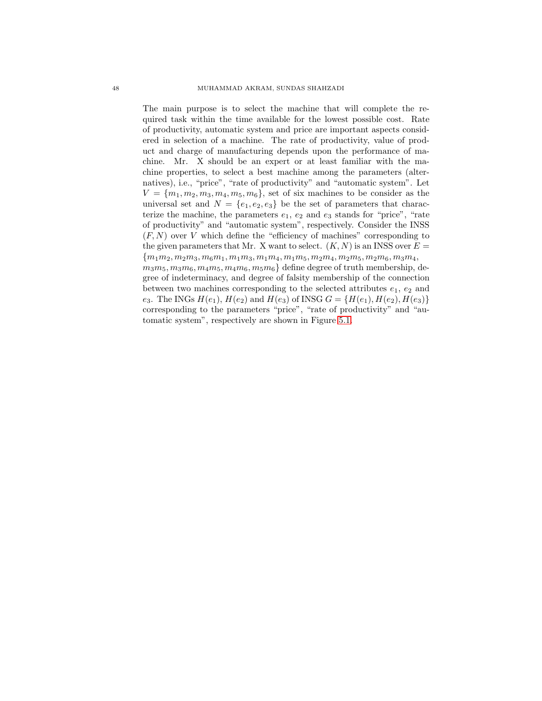The main purpose is to select the machine that will complete the required task within the time available for the lowest possible cost. Rate of productivity, automatic system and price are important aspects considered in selection of a machine. The rate of productivity, value of product and charge of manufacturing depends upon the performance of machine. Mr. X should be an expert or at least familiar with the machine properties, to select a best machine among the parameters (alternatives), i.e., "price", "rate of productivity" and "automatic system". Let  $V = \{m_1, m_2, m_3, m_4, m_5, m_6\}$ , set of six machines to be consider as the universal set and  $N = \{e_1, e_2, e_3\}$  be the set of parameters that characterize the machine, the parameters  $e_1, e_2$  and  $e_3$  stands for "price", "rate of productivity" and "automatic system", respectively. Consider the INSS  $(F, N)$  over V which define the "efficiency of machines" corresponding to the given parameters that Mr. X want to select.  $(K, N)$  is an INSS over  $E =$  ${m_1m_2, m_2m_3, m_6m_1, m_1m_3, m_1m_4, m_1m_5, m_2m_4, m_2m_5, m_2m_6, m_3m_4, m_5m_5, m_6m_6, m_7m_7, m_8m_8, m_9m_9, m_9m_8, m_9m_9, m_1m_9, m_1m_9, m_1m_9, m_1m_9, m_1m_9, m_1m_9, m_1m_9, m_1m_9, m_1m_9, m_1m_9, m_1m_9, m_1m_9, m_1m_9, m_1m_9, m_$  $m_3m_5, m_3m_6, m_4m_5, m_4m_6, m_5m_6$  define degree of truth membership, degree of indeterminacy, and degree of falsity membership of the connection between two machines corresponding to the selected attributes  $e_1, e_2$  and e<sub>3</sub>. The INGs  $H(e_1)$ ,  $H(e_2)$  and  $H(e_3)$  of INSG  $G = \{H(e_1), H(e_2), H(e_3)\}\$ corresponding to the parameters "price", "rate of productivity" and "automatic system", respectively are shown in Figure [5.1.](#page-18-0)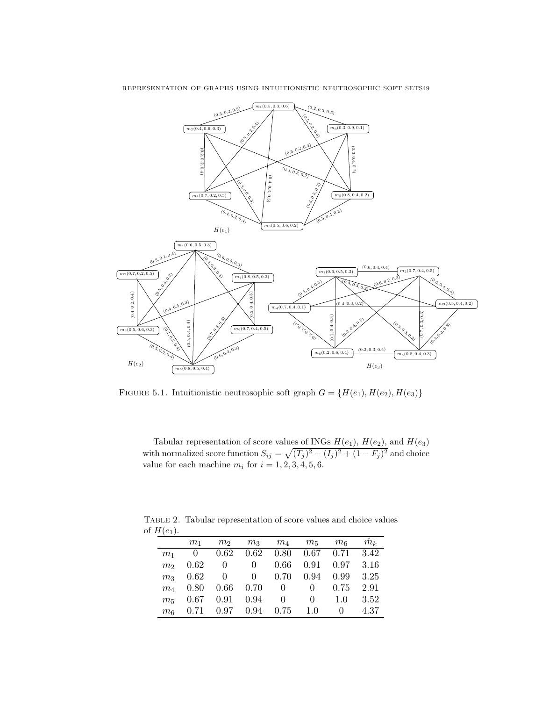

FIGURE 5.1. Intuitionistic neutrosophic soft graph  $G = \{H(e_1), H(e_2), H(e_3)\}$ 

<span id="page-18-0"></span>Tabular representation of score values of INGs  $H(e_1)$ ,  $H(e_2)$ , and  $H(e_3)$ with normalized score function  $S_{ij} = \sqrt{(T_j)^2 + (I_j)^2 + (1 - F_j)^2}$  and choice value for each machine  $m_i$  for  $i = 1, 2, 3, 4, 5, 6$ .

Table 2. Tabular representation of score values and choice values of  $H(e_1)$ .

|                | $m_1$ | m <sub>2</sub> |                        | $m_3$ $m_4$ $m_5$ $m_6$           |                | $\hat{m}_k$ |
|----------------|-------|----------------|------------------------|-----------------------------------|----------------|-------------|
| m <sub>1</sub> |       |                |                        | $0$ 0.62 0.62 0.80 0.67 0.71 3.42 |                |             |
| m <sub>2</sub> |       |                |                        | $0.62$ 0 0 0.66 0.91 0.97 3.16    |                |             |
| m <sub>3</sub> |       |                |                        | $0.62$ 0 0 0.70 0.94 0.99 3.25    |                |             |
| $m_A$          |       |                |                        | 0.80  0.66  0.70  0  0.75  2.91   |                |             |
| m <sub>5</sub> |       |                | $0.67$ $0.91$ $0.94$ 0 |                                   | $0 \t 1.0$     | 3.52        |
| m <sub>6</sub> |       |                |                        | $0.71$ $0.97$ $0.94$ $0.75$ $1.0$ | $\overline{0}$ | 4.37        |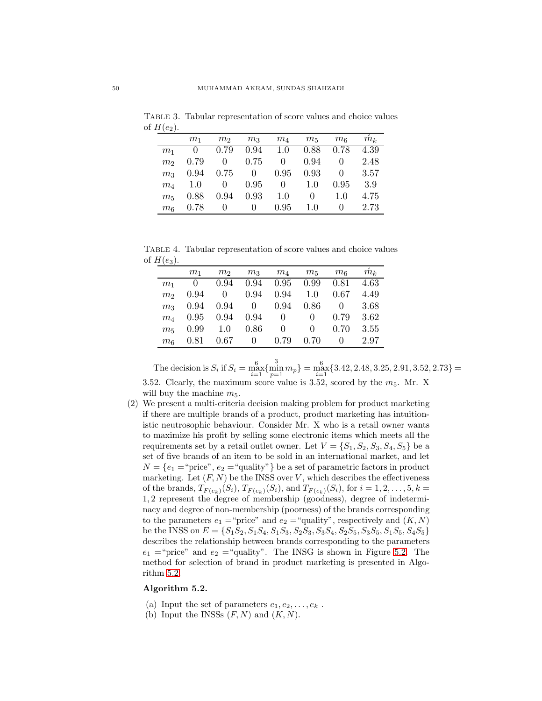Table 3. Tabular representation of score values and choice values of  $H(e_2)$ .

|                | $m_1$ | m <sub>2</sub>   | m <sub>3</sub> | $m_4$            | $m_5$    | m <sub>6</sub> | $\hat{m}_k$ |
|----------------|-------|------------------|----------------|------------------|----------|----------------|-------------|
| m <sub>1</sub> | 0     | 0.79             | 0.94           | 1.0              | 0.88     | 0.78           | 4.39        |
| m <sub>2</sub> | 0.79  | 0                | 0.75           | 0                | 0.94     | 0              | 2.48        |
| m <sub>3</sub> | 0.94  | 0.75             | $\overline{0}$ | 0.95             | 0.93     | 0              | 3.57        |
| $m_A$          | 1.0   | $\theta$         | 0.95           | $\left( \right)$ | 1.0      | 0.95           | 3.9         |
| m <sub>5</sub> | 0.88  | 0.94             | 0.93           | 1.0              | $\theta$ | 1.0            | 4.75        |
| m <sub>6</sub> | 0.78  | $\left( \right)$ | 0              | 0.95             | 1.0      | $\mathbf{0}$   | 2.73        |

Table 4. Tabular representation of score values and choice values of  $H(e_3)$ .

|                | $m_1$          | m <sub>2</sub> | m <sub>3</sub> | $m_{4}$  | $m_5$    | m <sub>6</sub> | $\hat{m}_k$ |
|----------------|----------------|----------------|----------------|----------|----------|----------------|-------------|
| m <sub>1</sub> | $\overline{0}$ | 0.94           | 0.94           | 0.95     | 0.99     | 0.81           | 4.63        |
| m <sub>2</sub> | 0.94           | $\theta$       | 0.94           | 0.94     | 1.0      | 0.67           | 4.49        |
| m <sub>3</sub> | 0.94           | 0.94           | $\overline{0}$ | 0.94     | 0.86     | 0              | 3.68        |
| $m_A$          | 0.95           | 0.94           | 0.94           | $\Omega$ | 0        | 0.79           | 3.62        |
| m <sub>5</sub> | 0.99           | 1.0            | 0.86           | 0        | $\theta$ | 0.70           | 3.55        |
| m <sub>6</sub> | 0.81           | 0.67           | 0              | 0.79     | 0.70     | 0              | 2.97        |

The decision is  $S_i$  if  $S_i = \max_{i=1}^6 \{\min_{p=1}^3 m_p\} = \max_{i=1}^6 \{3.42, 2.48, 3.25, 2.91, 3.52, 2.73\} =$ 3.52. Clearly, the maximum score value is 3.52, scored by the  $m_5$ . Mr. X will buy the machine  $m_5$ .

(2) We present a multi-criteria decision making problem for product marketing if there are multiple brands of a product, product marketing has intuitionistic neutrosophic behaviour. Consider Mr. X who is a retail owner wants to maximize his profit by selling some electronic items which meets all the requirements set by a retail outlet owner. Let  $V = \{S_1, S_2, S_3, S_4, S_5\}$  be a set of five brands of an item to be sold in an international market, and let  $N = \{e_1 = \text{``price''}, e_2 = \text{``quality''}\}\$ be a set of parametric factors in product marketing. Let  $(F, N)$  be the INSS over V, which describes the effectiveness of the brands,  $T_{F(e_k)}(S_i)$ ,  $T_{F(e_k)}(S_i)$ , and  $T_{F(e_k)}(S_i)$ , for  $i = 1, 2, ..., 5, k =$ 1, 2 represent the degree of membership (goodness), degree of indeterminacy and degree of non-membership (poorness) of the brands corresponding to the parameters  $e_1$  = "price" and  $e_2$  = "quality", respectively and  $(K, N)$ be the INSS on  $E = \{S_1S_2, S_1S_4, S_1S_3, S_2S_3, S_3S_4, S_2S_5, S_3S_5, S_1S_5, S_4S_5\}$ describes the relationship between brands corresponding to the parameters  $e_1$  = "price" and  $e_2$  = "quality". The INSG is shown in Figure [5.2.](#page-20-0) The method for selection of brand in product marketing is presented in Algorithm [5.2.](#page-19-0)

## <span id="page-19-0"></span>Algorithm 5.2.

- (a) Input the set of parameters  $e_1, e_2, \ldots, e_k$ .
- (b) Input the INSSs  $(F, N)$  and  $(K, N)$ .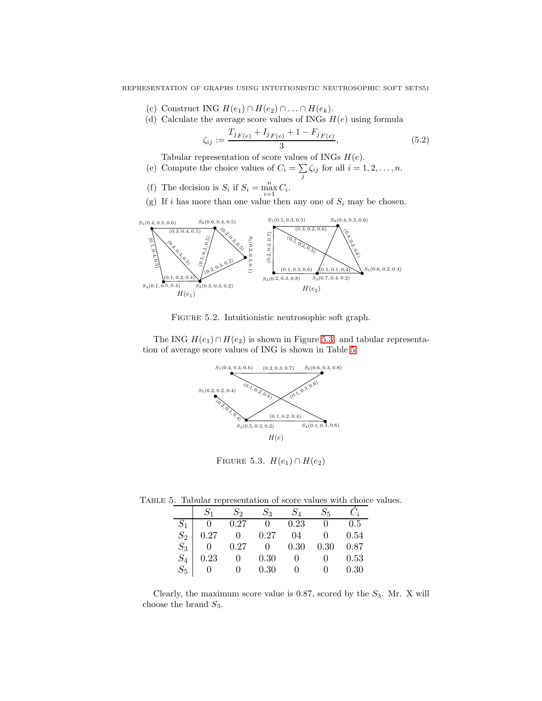- (c) Construct ING  $H(e_1) \cap H(e_2) \cap \ldots \cap H(e_k)$ .
- (d) Calculate the average score values of INGs  $H(e)$  using formula

$$
\zeta_{ij} := \frac{T_{jF(e)} + I_{jF(e)} + 1 - F_{jF(e)}}{3},\tag{5.2}
$$

Tabular representation of score values of INGs  $H(e)$ .

- (e) Compute the choice values of  $C_i = \sum_j \zeta_{ij}$  for all  $i = 1, 2, ..., n$ .
- (f) The decision is  $S_i$  if  $S_i = \max_{i=1}^n C_i$ .
- (g) If i has more than one value then any one of  $S_i$  may be chosen.



Figure 5.2. Intuitionistic neutrosophic soft graph.

The ING  $H(e_1) \cap H(e_2)$  is shown in Figure [5.3.](#page-20-1) and tabular representation of average score values of ING is shown in Table [5.](#page-20-2)

<span id="page-20-0"></span>

<span id="page-20-1"></span>FIGURE 5.3.  $H(e_1) \cap H(e_2)$ 

Table 5. Tabular representation of score values with choice values.

<span id="page-20-2"></span>

|                                                              | $S_2$            | $S_3$ $S_4$ | $S_5$        |      |
|--------------------------------------------------------------|------------------|-------------|--------------|------|
| $S_1$ 0 0.27 0 0.23 0 0.5<br>$S_2$ 0.27 0 0.27 04 0 0.54     |                  |             |              |      |
|                                                              |                  |             | 0 $0.54$     |      |
|                                                              | $0.27$ 0 0.30    |             | 0.30         | 0.87 |
|                                                              | $0 \t 0.30$      |             | $0 \qquad 0$ | 0.53 |
| $\begin{array}{c c} S_3 & 0 \ S_4 & 0.2 \ S_5 & \end{array}$ | $0 \t 0 \t 0.30$ |             | $0 \qquad 0$ | 0.30 |

Clearly, the maximum score value is 0.87, scored by the  $S_3$ . Mr. X will choose the brand  $S_3$ .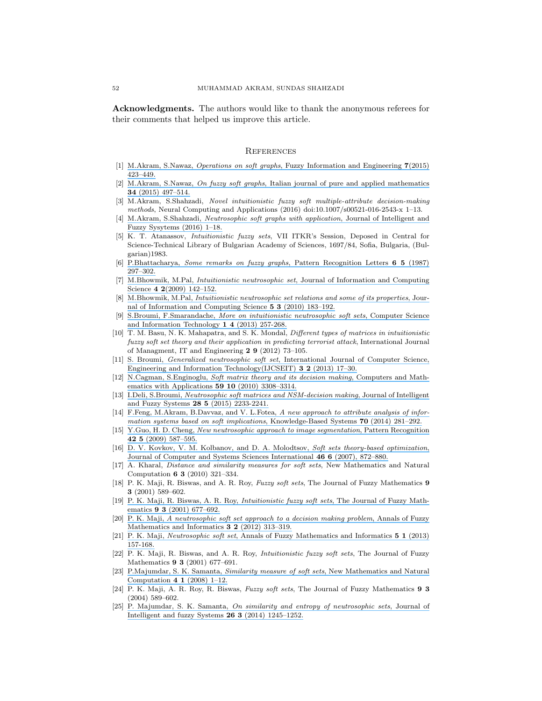Acknowledgments. The authors would like to thank the anonymous referees for their comments that helped us improve this article.

#### **REFERENCES**

- <span id="page-21-9"></span><span id="page-21-8"></span>[1] M.Akram, S.Nawaz, Operations on soft graphs[, Fuzzy Information and Engineering](https://www.researchgate.net/publication/286903464_Operations_on_Soft_Graphs?el=1_x_8&enrichId=rgreq-1081f5e8fd7111a26d573941ca3cbc7e-XXX&enrichSource=Y292ZXJQYWdlOzMxMDQ2NjM1NTtBUzo0NDQyNzg4NTA3NTY2MDhAMTQ4MjkzNTc0MDcyNw==) 7(2015) [423–449.](https://www.researchgate.net/publication/286903464_Operations_on_Soft_Graphs?el=1_x_8&enrichId=rgreq-1081f5e8fd7111a26d573941ca3cbc7e-XXX&enrichSource=Y292ZXJQYWdlOzMxMDQ2NjM1NTtBUzo0NDQyNzg4NTA3NTY2MDhAMTQ4MjkzNTc0MDcyNw==)
- <span id="page-21-10"></span>[2] M.Akram, S.Nawaz, On fuzzy soft graphs[, Italian journal of pure and applied mathematics](https://www.researchgate.net/publication/289988962_On_fuzzy_soft_graphs?el=1_x_8&enrichId=rgreq-1081f5e8fd7111a26d573941ca3cbc7e-XXX&enrichSource=Y292ZXJQYWdlOzMxMDQ2NjM1NTtBUzo0NDQyNzg4NTA3NTY2MDhAMTQ4MjkzNTc0MDcyNw==) 34 [\(2015\) 497–514.](https://www.researchgate.net/publication/289988962_On_fuzzy_soft_graphs?el=1_x_8&enrichId=rgreq-1081f5e8fd7111a26d573941ca3cbc7e-XXX&enrichSource=Y292ZXJQYWdlOzMxMDQ2NjM1NTtBUzo0NDQyNzg4NTA3NTY2MDhAMTQ4MjkzNTc0MDcyNw==)
- <span id="page-21-11"></span>[3] M.Akram, S.Shahzadi, Novel intuitionistic fuzzy soft multiple-attribute decision-making methods, Neural Computing and Applications (2016) doi:10.1007/s00521-016-2543-x 1–13.
- [4] M.Akram, S.Shahzadi, [Neutrosophic soft graphs with application](https://www.researchgate.net/publication/305920288_Neutrosophic_soft_graphs_with_application?el=1_x_8&enrichId=rgreq-1081f5e8fd7111a26d573941ca3cbc7e-XXX&enrichSource=Y292ZXJQYWdlOzMxMDQ2NjM1NTtBUzo0NDQyNzg4NTA3NTY2MDhAMTQ4MjkzNTc0MDcyNw==), Journal of Intelligent and [Fuzzy Sysytems \(2016\) 1–18.](https://www.researchgate.net/publication/305920288_Neutrosophic_soft_graphs_with_application?el=1_x_8&enrichId=rgreq-1081f5e8fd7111a26d573941ca3cbc7e-XXX&enrichSource=Y292ZXJQYWdlOzMxMDQ2NjM1NTtBUzo0NDQyNzg4NTA3NTY2MDhAMTQ4MjkzNTc0MDcyNw==)
- [5] K. T. Atanassov, Intuitionistic fuzzy sets, VII ITKR's Session, Deposed in Central for Science-Technical Library of Bulgarian Academy of Sciences, 1697/84, Sofia, Bulgaria, (Bulgarian)1983.
- <span id="page-21-0"></span>[6] P.Bhattacharya, [Some remarks on fuzzy graphs](https://www.researchgate.net/publication/242794179_Some_remarks_on_fuzzy_graphs?el=1_x_8&enrichId=rgreq-1081f5e8fd7111a26d573941ca3cbc7e-XXX&enrichSource=Y292ZXJQYWdlOzMxMDQ2NjM1NTtBUzo0NDQyNzg4NTA3NTY2MDhAMTQ4MjkzNTc0MDcyNw==), Pattern Recognition Letters 6 5 (1987) [297–302.](https://www.researchgate.net/publication/242794179_Some_remarks_on_fuzzy_graphs?el=1_x_8&enrichId=rgreq-1081f5e8fd7111a26d573941ca3cbc7e-XXX&enrichSource=Y292ZXJQYWdlOzMxMDQ2NjM1NTtBUzo0NDQyNzg4NTA3NTY2MDhAMTQ4MjkzNTc0MDcyNw==)
- [7] M.Bhowmik, M.Pal, Intuitionistic neutrosophic set[, Journal of Information and Computing](https://www.researchgate.net/publication/228528534_Intuitionistic_Neutrosophic_Set?el=1_x_8&enrichId=rgreq-1081f5e8fd7111a26d573941ca3cbc7e-XXX&enrichSource=Y292ZXJQYWdlOzMxMDQ2NjM1NTtBUzo0NDQyNzg4NTA3NTY2MDhAMTQ4MjkzNTc0MDcyNw==) Science  $4\ 2(2009)$  142-152.
- <span id="page-21-12"></span>[8] M.Bhowmik, M.Pal, [Intuitionistic neutrosophic set relations and some of its properties](https://www.researchgate.net/publication/231359138_Intuitionistic_Neutrosophic_Set_Relations_and_Some_of_Its_Properties?el=1_x_8&enrichId=rgreq-1081f5e8fd7111a26d573941ca3cbc7e-XXX&enrichSource=Y292ZXJQYWdlOzMxMDQ2NjM1NTtBUzo0NDQyNzg4NTA3NTY2MDhAMTQ4MjkzNTc0MDcyNw==), Jour[nal of Information and Computing Science](https://www.researchgate.net/publication/231359138_Intuitionistic_Neutrosophic_Set_Relations_and_Some_of_Its_Properties?el=1_x_8&enrichId=rgreq-1081f5e8fd7111a26d573941ca3cbc7e-XXX&enrichSource=Y292ZXJQYWdlOzMxMDQ2NjM1NTtBUzo0NDQyNzg4NTA3NTY2MDhAMTQ4MjkzNTc0MDcyNw==) 5 3 (2010) 183–192.
- [9] S.Broumi, F.Smarandache, [More on intuitionistic neutrosophic soft sets](https://www.researchgate.net/publication/309037057_More_on_Intuitionistic_Neutrosophic_Soft_Sets?el=1_x_8&enrichId=rgreq-1081f5e8fd7111a26d573941ca3cbc7e-XXX&enrichSource=Y292ZXJQYWdlOzMxMDQ2NjM1NTtBUzo0NDQyNzg4NTA3NTY2MDhAMTQ4MjkzNTc0MDcyNw==), Computer Science [and Information Technology](https://www.researchgate.net/publication/309037057_More_on_Intuitionistic_Neutrosophic_Soft_Sets?el=1_x_8&enrichId=rgreq-1081f5e8fd7111a26d573941ca3cbc7e-XXX&enrichSource=Y292ZXJQYWdlOzMxMDQ2NjM1NTtBUzo0NDQyNzg4NTA3NTY2MDhAMTQ4MjkzNTc0MDcyNw==) 1 4 (2013) 257-268.
- <span id="page-21-1"></span>[10] T. M. Basu, N. K. Mahapatra, and S. K. Mondal, Different types of matrices in intuitionistic fuzzy soft set theory and their application in predicting terrorist attack, International Journal of Managment, IT and Engineering 2 9 (2012) 73–105.
- <span id="page-21-7"></span>[11] S. Broumi, Generalized neutrosophic soft set[, International Journal of Computer Science,](https://www.researchgate.net/publication/236688061_Generalized_Neutrosophic_Soft_Set?el=1_x_8&enrichId=rgreq-1081f5e8fd7111a26d573941ca3cbc7e-XXX&enrichSource=Y292ZXJQYWdlOzMxMDQ2NjM1NTtBUzo0NDQyNzg4NTA3NTY2MDhAMTQ4MjkzNTc0MDcyNw==) [Engineering and Information Technology\(IJCSEIT\)](https://www.researchgate.net/publication/236688061_Generalized_Neutrosophic_Soft_Set?el=1_x_8&enrichId=rgreq-1081f5e8fd7111a26d573941ca3cbc7e-XXX&enrichSource=Y292ZXJQYWdlOzMxMDQ2NjM1NTtBUzo0NDQyNzg4NTA3NTY2MDhAMTQ4MjkzNTc0MDcyNw==) 3 2 (2013) 17-30.
- <span id="page-21-2"></span>[12] N.Cagman, S.Enginoglu, [Soft matrix theory and its decision making](https://www.researchgate.net/publication/220513331_Soft_matrix_theory_and_its_decision_making?el=1_x_8&enrichId=rgreq-1081f5e8fd7111a26d573941ca3cbc7e-XXX&enrichSource=Y292ZXJQYWdlOzMxMDQ2NjM1NTtBUzo0NDQyNzg4NTA3NTY2MDhAMTQ4MjkzNTc0MDcyNw==), Computers and Math[ematics with Applications](https://www.researchgate.net/publication/220513331_Soft_matrix_theory_and_its_decision_making?el=1_x_8&enrichId=rgreq-1081f5e8fd7111a26d573941ca3cbc7e-XXX&enrichSource=Y292ZXJQYWdlOzMxMDQ2NjM1NTtBUzo0NDQyNzg4NTA3NTY2MDhAMTQ4MjkzNTc0MDcyNw==)  $59 10 (2010) 3308 - 3314$ .
- <span id="page-21-3"></span>[13] I.Deli, S.Broumi, [Neutrosophic soft matrices and NSM-decision making](https://www.researchgate.net/publication/261368671_Neutrosophic_soft_matrices_and_NSM-decision_making?el=1_x_8&enrichId=rgreq-1081f5e8fd7111a26d573941ca3cbc7e-XXX&enrichSource=Y292ZXJQYWdlOzMxMDQ2NjM1NTtBUzo0NDQyNzg4NTA3NTY2MDhAMTQ4MjkzNTc0MDcyNw==), Journal of Intelligent [and Fuzzy Systems](https://www.researchgate.net/publication/261368671_Neutrosophic_soft_matrices_and_NSM-decision_making?el=1_x_8&enrichId=rgreq-1081f5e8fd7111a26d573941ca3cbc7e-XXX&enrichSource=Y292ZXJQYWdlOzMxMDQ2NjM1NTtBUzo0NDQyNzg4NTA3NTY2MDhAMTQ4MjkzNTc0MDcyNw==) 28 5 (2015) 2233-2241.
- [14] [F.Feng, M.Akram, B.Davvaz, and V. L.Fotea,](https://www.researchgate.net/publication/266377597_Attribute_analysis_of_information_systems_based_on_elementary_soft_implications?el=1_x_8&enrichId=rgreq-1081f5e8fd7111a26d573941ca3cbc7e-XXX&enrichSource=Y292ZXJQYWdlOzMxMDQ2NjM1NTtBUzo0NDQyNzg4NTA3NTY2MDhAMTQ4MjkzNTc0MDcyNw==) A new approach to attribute analysis of infor[mation systems based on soft implications](https://www.researchgate.net/publication/266377597_Attribute_analysis_of_information_systems_based_on_elementary_soft_implications?el=1_x_8&enrichId=rgreq-1081f5e8fd7111a26d573941ca3cbc7e-XXX&enrichSource=Y292ZXJQYWdlOzMxMDQ2NjM1NTtBUzo0NDQyNzg4NTA3NTY2MDhAMTQ4MjkzNTc0MDcyNw==), Knowledge-Based Systems 70 (2014) 281-292.
- [15] Y.Guo, H. D. Cheng, [New neutrosophic approach to image segmentation](https://www.researchgate.net/publication/223719769_New_neutrosophic_approach_to_image_segmentation?el=1_x_8&enrichId=rgreq-1081f5e8fd7111a26d573941ca3cbc7e-XXX&enrichSource=Y292ZXJQYWdlOzMxMDQ2NjM1NTtBUzo0NDQyNzg4NTA3NTY2MDhAMTQ4MjkzNTc0MDcyNw==), Pattern Recognition  $425(2009)587-595.$
- [16] [D. V. Kovkov, V. M. Kolbanov, and D. A. Molodtsov,](https://www.researchgate.net/publication/226470273_Soft_sets_theory-based_optimization?el=1_x_8&enrichId=rgreq-1081f5e8fd7111a26d573941ca3cbc7e-XXX&enrichSource=Y292ZXJQYWdlOzMxMDQ2NjM1NTtBUzo0NDQyNzg4NTA3NTY2MDhAMTQ4MjkzNTc0MDcyNw==) Soft sets theory-based optimization, [Journal of Computer and Systems Sciences International](https://www.researchgate.net/publication/226470273_Soft_sets_theory-based_optimization?el=1_x_8&enrichId=rgreq-1081f5e8fd7111a26d573941ca3cbc7e-XXX&enrichSource=Y292ZXJQYWdlOzMxMDQ2NjM1NTtBUzo0NDQyNzg4NTA3NTY2MDhAMTQ4MjkzNTc0MDcyNw==) 46 6 (2007), 872–880.
- [17] A. Kharal, Distance and similarity measures for soft sets, New Mathematics and Natural Computation 6 3 (2010) 321–334.
- [18] P. K. Maji, R. Biswas, and A. R. Roy, Fuzzy soft sets, The Journal of Fuzzy Mathematics 9 3 (2001) 589–602.
- [19] [P. K. Maji, R. Biswas, A. R. Roy,](https://www.researchgate.net/publication/265462442_Intuitionistic_fuzzy_soft_sets?el=1_x_8&enrichId=rgreq-1081f5e8fd7111a26d573941ca3cbc7e-XXX&enrichSource=Y292ZXJQYWdlOzMxMDQ2NjM1NTtBUzo0NDQyNzg4NTA3NTY2MDhAMTQ4MjkzNTc0MDcyNw==) Intuitionistic fuzzy soft sets, The Journal of Fuzzy Mathematics 9 3 [\(2001\) 677–692.](https://www.researchgate.net/publication/265462442_Intuitionistic_fuzzy_soft_sets?el=1_x_8&enrichId=rgreq-1081f5e8fd7111a26d573941ca3cbc7e-XXX&enrichSource=Y292ZXJQYWdlOzMxMDQ2NjM1NTtBUzo0NDQyNzg4NTA3NTY2MDhAMTQ4MjkzNTc0MDcyNw==)
- [20] P. K. Maji, [A neutrosophic soft set approach to a decision making problem](https://www.researchgate.net/publication/308790005_WEIGHTED_NEUTROSOPHIC_SOFT_SETS_APPROACH_IN_A_MULTICRITERIA_DECISION_MAKING_PROBLEM?el=1_x_8&enrichId=rgreq-1081f5e8fd7111a26d573941ca3cbc7e-XXX&enrichSource=Y292ZXJQYWdlOzMxMDQ2NjM1NTtBUzo0NDQyNzg4NTA3NTY2MDhAMTQ4MjkzNTc0MDcyNw==), Annals of Fuzzy [Mathematics and Informatics](https://www.researchgate.net/publication/308790005_WEIGHTED_NEUTROSOPHIC_SOFT_SETS_APPROACH_IN_A_MULTICRITERIA_DECISION_MAKING_PROBLEM?el=1_x_8&enrichId=rgreq-1081f5e8fd7111a26d573941ca3cbc7e-XXX&enrichSource=Y292ZXJQYWdlOzMxMDQ2NjM1NTtBUzo0NDQyNzg4NTA3NTY2MDhAMTQ4MjkzNTc0MDcyNw==) 3 2 (2012) 313-319.
- <span id="page-21-4"></span>[21] P. K. Maji, Neutrosophic soft set[, Annals of Fuzzy Mathematics and Informatics](https://www.researchgate.net/publication/305387825_Neutrosophic_soft_set?el=1_x_8&enrichId=rgreq-1081f5e8fd7111a26d573941ca3cbc7e-XXX&enrichSource=Y292ZXJQYWdlOzMxMDQ2NjM1NTtBUzo0NDQyNzg4NTA3NTY2MDhAMTQ4MjkzNTc0MDcyNw==) 5 1 (2013) [157-168.](https://www.researchgate.net/publication/305387825_Neutrosophic_soft_set?el=1_x_8&enrichId=rgreq-1081f5e8fd7111a26d573941ca3cbc7e-XXX&enrichSource=Y292ZXJQYWdlOzMxMDQ2NjM1NTtBUzo0NDQyNzg4NTA3NTY2MDhAMTQ4MjkzNTc0MDcyNw==)
- <span id="page-21-5"></span>[22] P. K. Maji, R. Biswas, and A. R. Roy, Intuitionistic fuzzy soft sets, The Journal of Fuzzy Mathematics **9 3** (2001) 677-691.
- [23] P.Majumdar, S. K. Samanta, Similarity measure of soft sets[, New Mathematics and Natural](https://www.researchgate.net/publication/23751547_Similarity_measure_of_soft_sets?el=1_x_8&enrichId=rgreq-1081f5e8fd7111a26d573941ca3cbc7e-XXX&enrichSource=Y292ZXJQYWdlOzMxMDQ2NjM1NTtBUzo0NDQyNzg4NTA3NTY2MDhAMTQ4MjkzNTc0MDcyNw==) [Computation](https://www.researchgate.net/publication/23751547_Similarity_measure_of_soft_sets?el=1_x_8&enrichId=rgreq-1081f5e8fd7111a26d573941ca3cbc7e-XXX&enrichSource=Y292ZXJQYWdlOzMxMDQ2NjM1NTtBUzo0NDQyNzg4NTA3NTY2MDhAMTQ4MjkzNTc0MDcyNw==) 4 1 (2008) 1–12.
- <span id="page-21-6"></span>[24] P. K. Maji, A. R. Roy, R. Biswas, Fuzzy soft sets, The Journal of Fuzzy Mathematics 9 3 (2004) 589–602.
- [25] P. Majumdar, S. K. Samanta, [On similarity and entropy of neutrosophic sets](https://www.researchgate.net/publication/262326553_On_similarity_and_entropy_of_neutrosophic_sets?el=1_x_8&enrichId=rgreq-1081f5e8fd7111a26d573941ca3cbc7e-XXX&enrichSource=Y292ZXJQYWdlOzMxMDQ2NjM1NTtBUzo0NDQyNzg4NTA3NTY2MDhAMTQ4MjkzNTc0MDcyNw==), Journal of [Intelligent and fuzzy Systems](https://www.researchgate.net/publication/262326553_On_similarity_and_entropy_of_neutrosophic_sets?el=1_x_8&enrichId=rgreq-1081f5e8fd7111a26d573941ca3cbc7e-XXX&enrichSource=Y292ZXJQYWdlOzMxMDQ2NjM1NTtBUzo0NDQyNzg4NTA3NTY2MDhAMTQ4MjkzNTc0MDcyNw==) 26 3 (2014) 1245–1252.